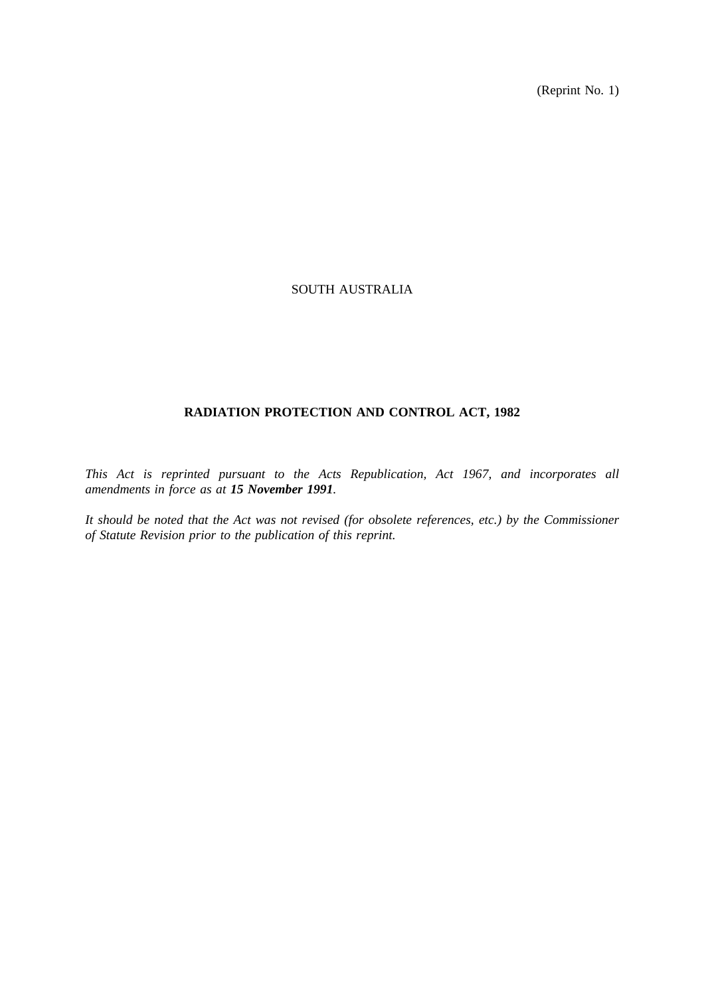(Reprint No. 1)

# SOUTH AUSTRALIA

# **RADIATION PROTECTION AND CONTROL ACT, 1982**

*This Act is reprinted pursuant to the Acts Republication, Act 1967, and incorporates all amendments in force as at 15 November 1991.*

*It should be noted that the Act was not revised (for obsolete references, etc.) by the Commissioner of Statute Revision prior to the publication of this reprint.*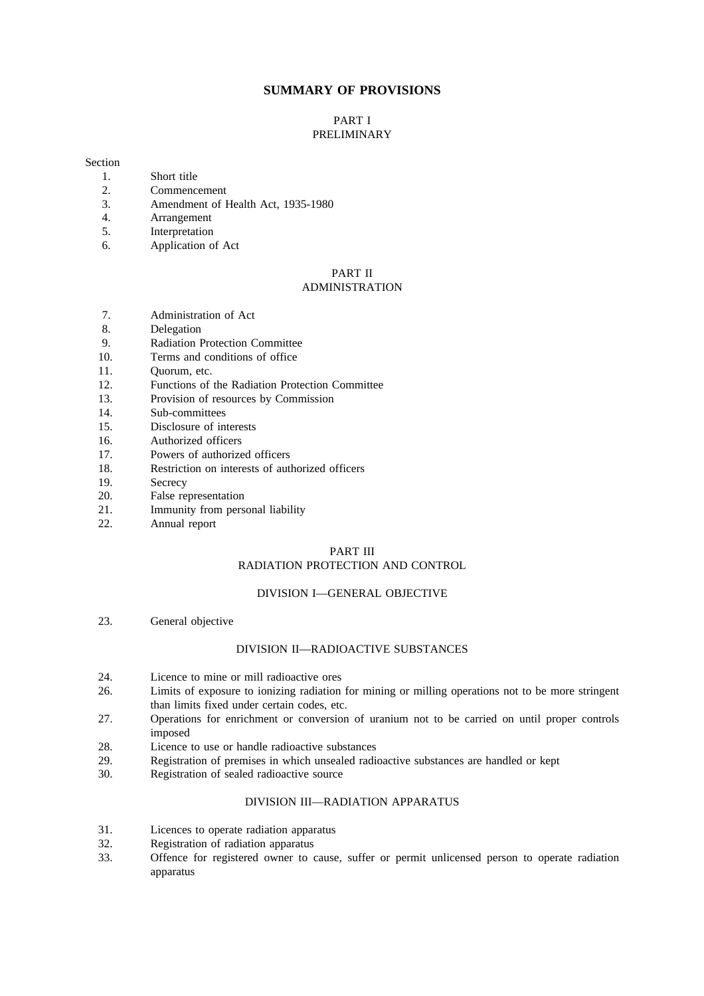# **SUMMARY OF PROVISIONS**

### PART I PRELIMINARY

#### Section

- 1. Short title
- 2. Commencement
- 3. Amendment of Health Act, 1935-1980<br>4. Arrangement
- 4. Arrangement
- 5. Interpretation
- 6. Application of Act

#### PART II ADMINISTRATION

- 7. Administration of Act
- 8. Delegation<br>9. Radiation B
- 9. Radiation Protection Committee<br>10. Terms and conditions of office
- Terms and conditions of office
- 11. Quorum, etc.
- 12. Functions of the Radiation Protection Committee
- 13. Provision of resources by Commission
- 14. Sub-committees
- 15. Disclosure of interests
- 16. Authorized officers
- 17. Powers of authorized officers
- 18. Restriction on interests of authorized officers
- 19. Secrecy
- 20. False representation
- 21. Immunity from personal liability<br>22. Annual report
- Annual report

## PART III

# RADIATION PROTECTION AND CONTROL

## DIVISION I—GENERAL OBJECTIVE

23. General objective

## DIVISION II—RADIOACTIVE SUBSTANCES

- 24. Licence to mine or mill radioactive ores
- 26. Limits of exposure to ionizing radiation for mining or milling operations not to be more stringent than limits fixed under certain codes, etc.
- 27. Operations for enrichment or conversion of uranium not to be carried on until proper controls imposed
- 28. Licence to use or handle radioactive substances
- 29. Registration of premises in which unsealed radioactive substances are handled or kept
- 30. Registration of sealed radioactive source

# DIVISION III—RADIATION APPARATUS

- 31. Licences to operate radiation apparatus
- 32. Registration of radiation apparatus
- 33. Offence for registered owner to cause, suffer or permit unlicensed person to operate radiation apparatus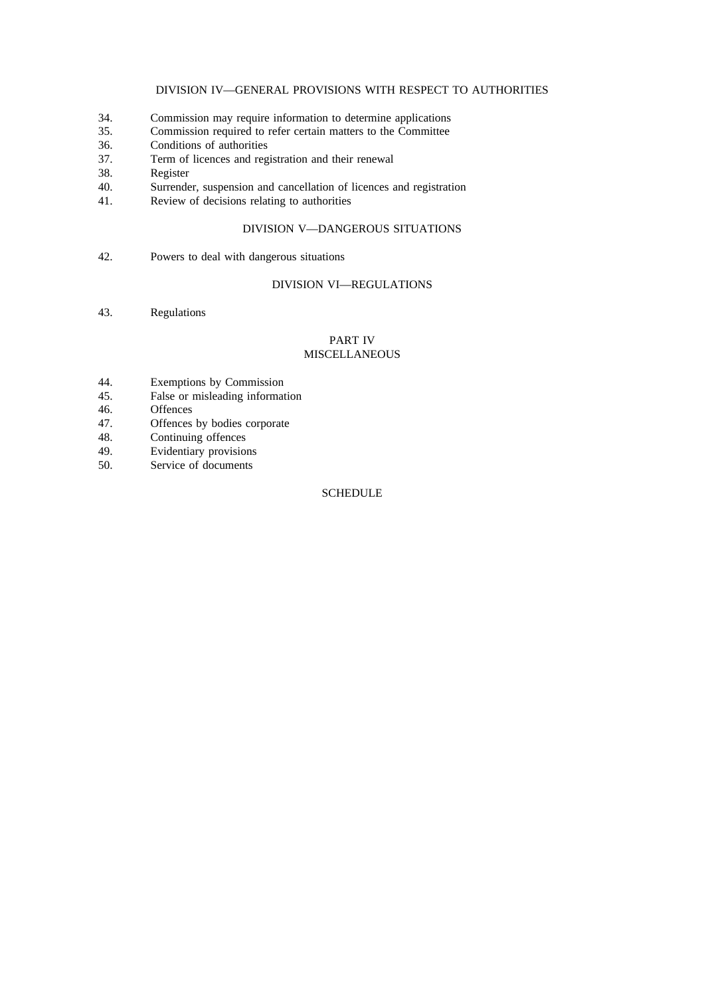# DIVISION IV—GENERAL PROVISIONS WITH RESPECT TO AUTHORITIES

- 34. Commission may require information to determine applications
- 35. Commission required to refer certain matters to the Committee
- 36. Conditions of authorities
- 37. Term of licences and registration and their renewal
- 38. Register
- 40. Surrender, suspension and cancellation of licences and registration 41. Review of decisions relating to authorities
- Review of decisions relating to authorities

# DIVISION V—DANGEROUS SITUATIONS

42. Powers to deal with dangerous situations

# DIVISION VI—REGULATIONS

43. Regulations

### PART IV MISCELLANEOUS

- 44. Exemptions by Commission
- 45. False or misleading information<br>46. Offences
- 46. Offences<br>47. Offences
- 47. Offences by bodies corporate 48. Continuing offences
- Continuing offences
- 49. Evidentiary provisions
- 50. Service of documents

# **SCHEDULE**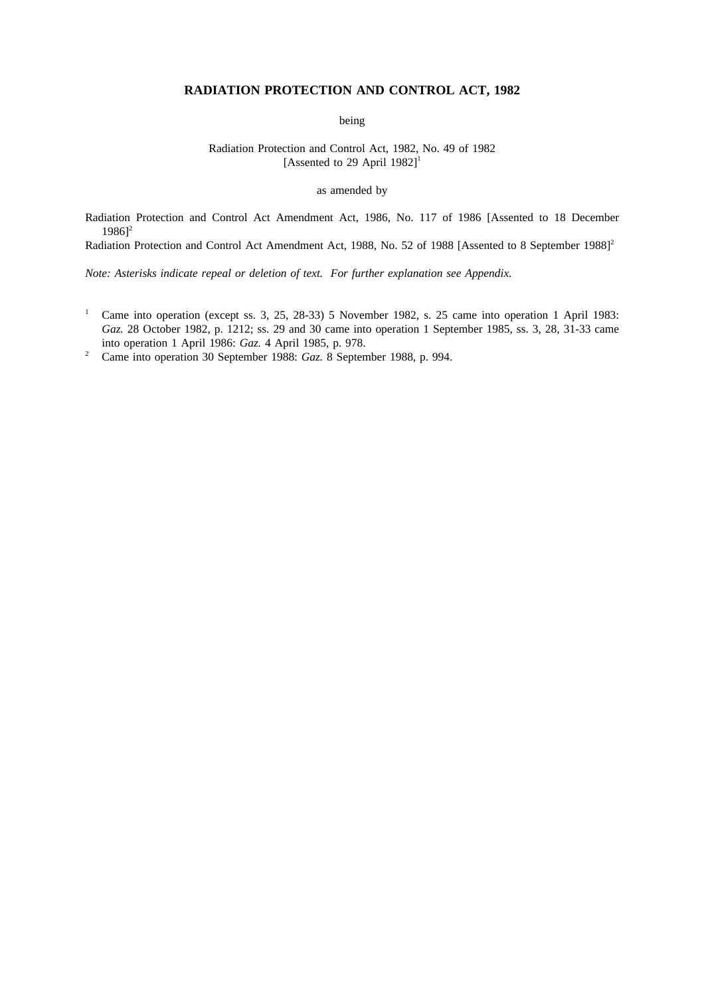# **RADIATION PROTECTION AND CONTROL ACT, 1982**

being

Radiation Protection and Control Act, 1982, No. 49 of 1982 [Assented to 29 April  $1982$ ]<sup>1</sup>

as amended by

Radiation Protection and Control Act Amendment Act, 1986, No. 117 of 1986 [Assented to 18 December  $1986$ <sup>2</sup>

Radiation Protection and Control Act Amendment Act, 1988, No. 52 of 1988 [Assented to 8 September 1988]<sup>2</sup>

*Note: Asterisks indicate repeal or deletion of text. For further explanation see Appendix.*

- <sup>1</sup> Came into operation (except ss. 3, 25, 28-33) 5 November 1982, s. 25 came into operation 1 April 1983: *Gaz.* 28 October 1982, p. 1212; ss. 29 and 30 came into operation 1 September 1985, ss. 3, 28, 31-33 came into operation 1 April 1986: *Gaz.* 4 April 1985, p. 978.
- <sup>2</sup> Came into operation 30 September 1988: *Gaz.* 8 September 1988, p. 994.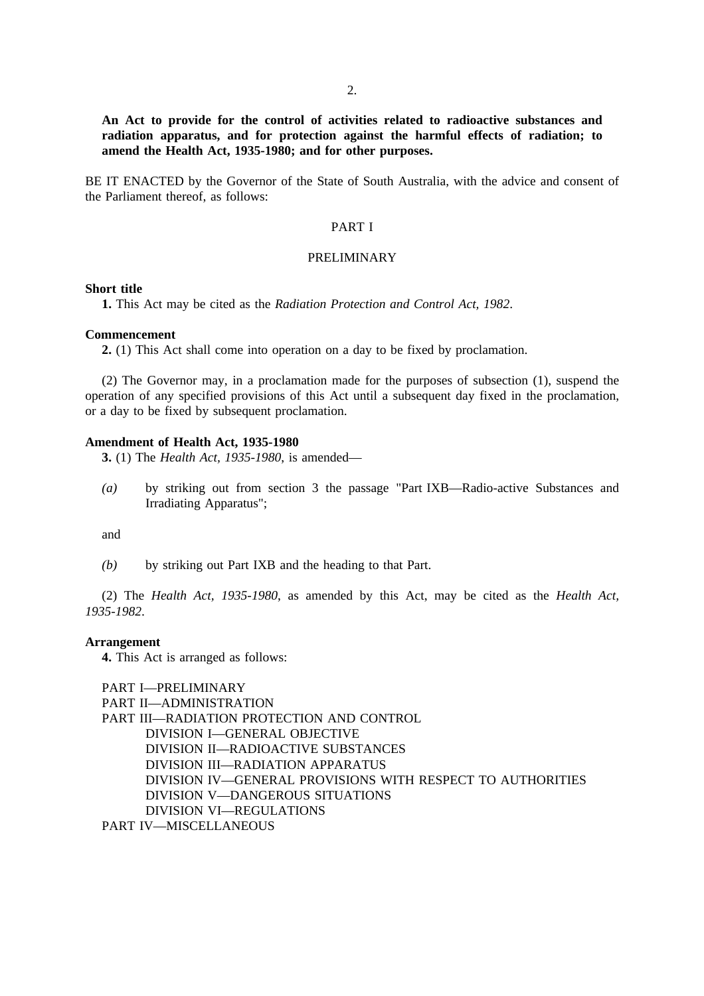**An Act to provide for the control of activities related to radioactive substances and radiation apparatus, and for protection against the harmful effects of radiation; to amend the Health Act, 1935-1980; and for other purposes.**

BE IT ENACTED by the Governor of the State of South Australia, with the advice and consent of the Parliament thereof, as follows:

# PART I

# PRELIMINARY

#### **Short title**

**1.** This Act may be cited as the *Radiation Protection and Control Act, 1982*.

#### **Commencement**

**2.** (1) This Act shall come into operation on a day to be fixed by proclamation.

(2) The Governor may, in a proclamation made for the purposes of subsection (1), suspend the operation of any specified provisions of this Act until a subsequent day fixed in the proclamation, or a day to be fixed by subsequent proclamation.

#### **Amendment of Health Act, 1935-1980**

**3.** (1) The *Health Act, 1935-1980*, is amended—

*(a)* by striking out from section 3 the passage "Part IXB—Radio-active Substances and Irradiating Apparatus";

and

*(b)* by striking out Part IXB and the heading to that Part.

(2) The *Health Act, 1935-1980*, as amended by this Act, may be cited as the *Health Act, 1935-1982*.

### **Arrangement**

**4.** This Act is arranged as follows:

```
PART I—PRELIMINARY
PART II—ADMINISTRATION
PART III—RADIATION PROTECTION AND CONTROL
     DIVISION I—GENERAL OBJECTIVE
     DIVISION II—RADIOACTIVE SUBSTANCES
     DIVISION III—RADIATION APPARATUS
     DIVISION IV—GENERAL PROVISIONS WITH RESPECT TO AUTHORITIES
     DIVISION V—DANGEROUS SITUATIONS
     DIVISION VI—REGULATIONS
```
PART IV—MISCELLANEOUS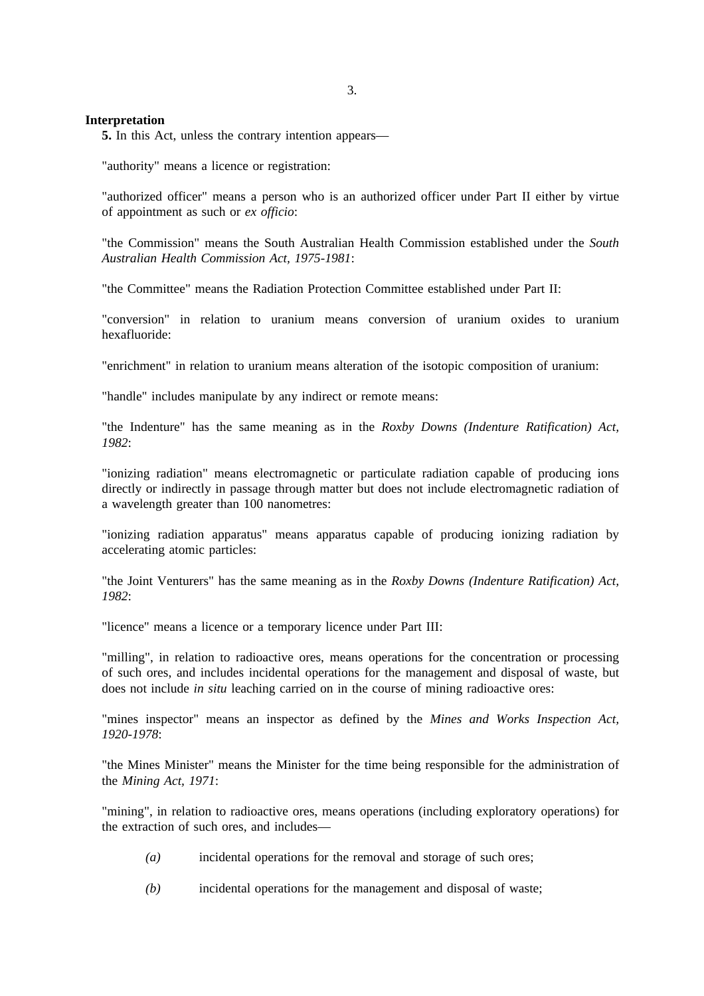## **Interpretation**

**5.** In this Act, unless the contrary intention appears—

"authority" means a licence or registration:

"authorized officer" means a person who is an authorized officer under Part II either by virtue of appointment as such or *ex officio*:

"the Commission" means the South Australian Health Commission established under the *South Australian Health Commission Act, 1975-1981*:

"the Committee" means the Radiation Protection Committee established under Part II:

"conversion" in relation to uranium means conversion of uranium oxides to uranium hexafluoride:

"enrichment" in relation to uranium means alteration of the isotopic composition of uranium:

"handle" includes manipulate by any indirect or remote means:

"the Indenture" has the same meaning as in the *Roxby Downs (Indenture Ratification) Act, 1982*:

"ionizing radiation" means electromagnetic or particulate radiation capable of producing ions directly or indirectly in passage through matter but does not include electromagnetic radiation of a wavelength greater than 100 nanometres:

"ionizing radiation apparatus" means apparatus capable of producing ionizing radiation by accelerating atomic particles:

"the Joint Venturers" has the same meaning as in the *Roxby Downs (Indenture Ratification) Act, 1982*:

"licence" means a licence or a temporary licence under Part III:

"milling", in relation to radioactive ores, means operations for the concentration or processing of such ores, and includes incidental operations for the management and disposal of waste, but does not include *in situ* leaching carried on in the course of mining radioactive ores:

"mines inspector" means an inspector as defined by the *Mines and Works Inspection Act, 1920-1978*:

"the Mines Minister" means the Minister for the time being responsible for the administration of the *Mining Act, 1971*:

"mining", in relation to radioactive ores, means operations (including exploratory operations) for the extraction of such ores, and includes—

- *(a)* incidental operations for the removal and storage of such ores;
- *(b)* incidental operations for the management and disposal of waste;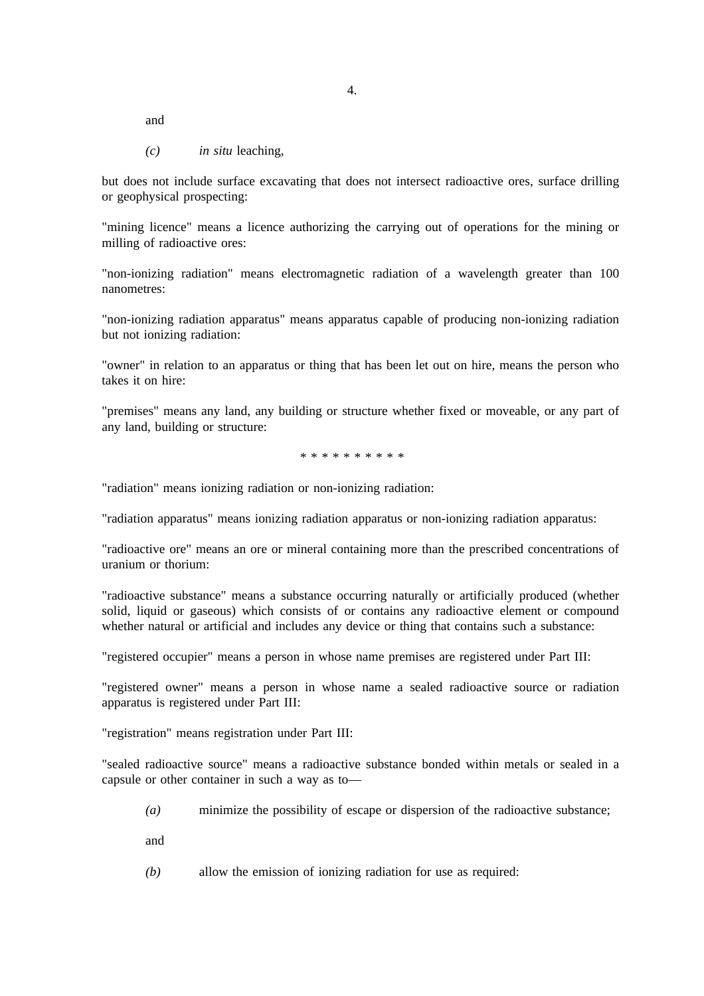and

*(c) in situ* leaching,

but does not include surface excavating that does not intersect radioactive ores, surface drilling or geophysical prospecting:

"mining licence" means a licence authorizing the carrying out of operations for the mining or milling of radioactive ores:

"non-ionizing radiation" means electromagnetic radiation of a wavelength greater than 100 nanometres:

"non-ionizing radiation apparatus" means apparatus capable of producing non-ionizing radiation but not ionizing radiation:

"owner" in relation to an apparatus or thing that has been let out on hire, means the person who takes it on hire:

"premises" means any land, any building or structure whether fixed or moveable, or any part of any land, building or structure:

\*\*\*\*\*\*\*\*\*\*

"radiation" means ionizing radiation or non-ionizing radiation:

"radiation apparatus" means ionizing radiation apparatus or non-ionizing radiation apparatus:

"radioactive ore" means an ore or mineral containing more than the prescribed concentrations of uranium or thorium:

"radioactive substance" means a substance occurring naturally or artificially produced (whether solid, liquid or gaseous) which consists of or contains any radioactive element or compound whether natural or artificial and includes any device or thing that contains such a substance:

"registered occupier" means a person in whose name premises are registered under Part III:

"registered owner" means a person in whose name a sealed radioactive source or radiation apparatus is registered under Part III:

"registration" means registration under Part III:

"sealed radioactive source" means a radioactive substance bonded within metals or sealed in a capsule or other container in such a way as to—

*(a)* minimize the possibility of escape or dispersion of the radioactive substance;

and

*(b)* allow the emission of ionizing radiation for use as required: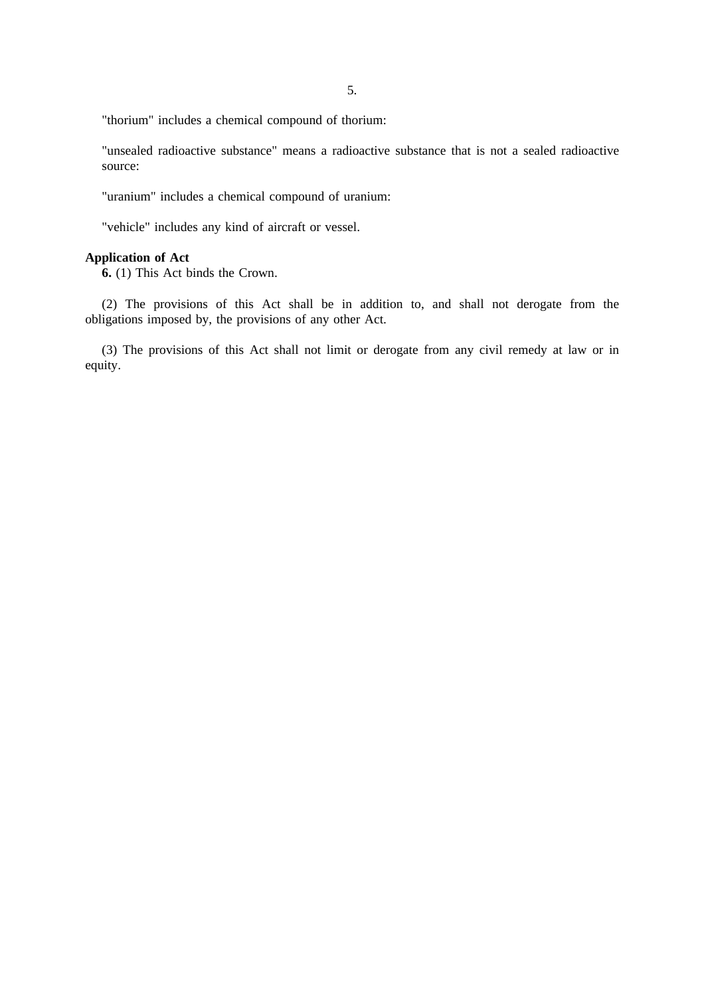"thorium" includes a chemical compound of thorium:

"unsealed radioactive substance" means a radioactive substance that is not a sealed radioactive source:

"uranium" includes a chemical compound of uranium:

"vehicle" includes any kind of aircraft or vessel.

# **Application of Act**

**6.** (1) This Act binds the Crown.

(2) The provisions of this Act shall be in addition to, and shall not derogate from the obligations imposed by, the provisions of any other Act.

(3) The provisions of this Act shall not limit or derogate from any civil remedy at law or in equity.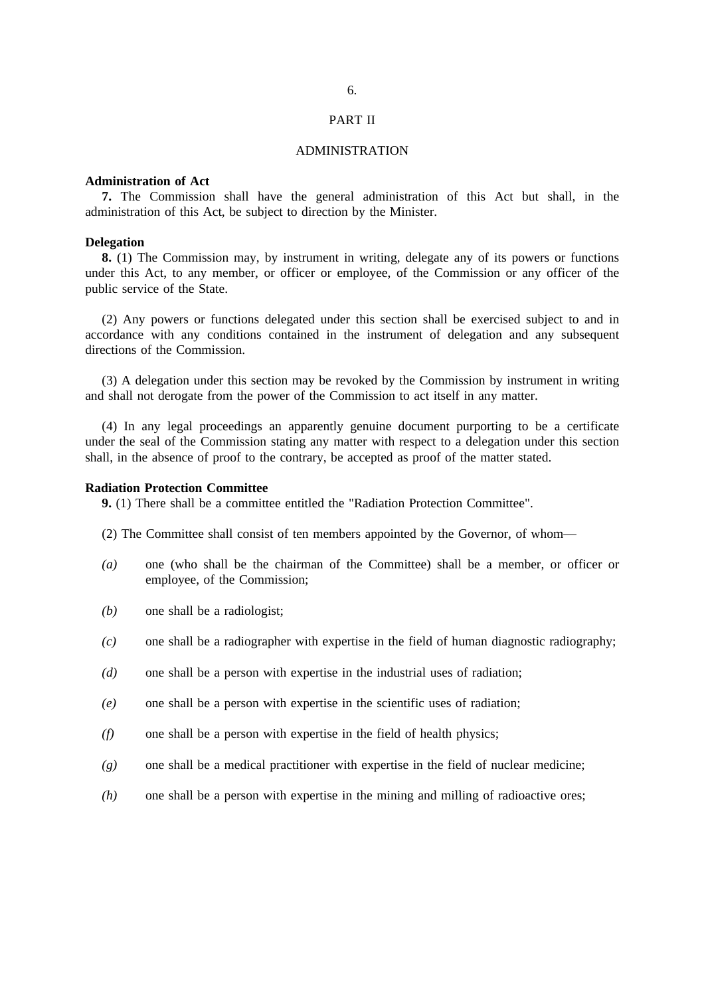#### PART II

### ADMINISTRATION

# **Administration of Act**

**7.** The Commission shall have the general administration of this Act but shall, in the administration of this Act, be subject to direction by the Minister.

#### **Delegation**

**8.** (1) The Commission may, by instrument in writing, delegate any of its powers or functions under this Act, to any member, or officer or employee, of the Commission or any officer of the public service of the State.

(2) Any powers or functions delegated under this section shall be exercised subject to and in accordance with any conditions contained in the instrument of delegation and any subsequent directions of the Commission.

(3) A delegation under this section may be revoked by the Commission by instrument in writing and shall not derogate from the power of the Commission to act itself in any matter.

(4) In any legal proceedings an apparently genuine document purporting to be a certificate under the seal of the Commission stating any matter with respect to a delegation under this section shall, in the absence of proof to the contrary, be accepted as proof of the matter stated.

#### **Radiation Protection Committee**

**9.** (1) There shall be a committee entitled the "Radiation Protection Committee".

- (2) The Committee shall consist of ten members appointed by the Governor, of whom—
- *(a)* one (who shall be the chairman of the Committee) shall be a member, or officer or employee, of the Commission;
- *(b)* one shall be a radiologist;
- *(c)* one shall be a radiographer with expertise in the field of human diagnostic radiography;
- *(d)* one shall be a person with expertise in the industrial uses of radiation;
- *(e)* one shall be a person with expertise in the scientific uses of radiation;
- *(f)* one shall be a person with expertise in the field of health physics;
- *(g)* one shall be a medical practitioner with expertise in the field of nuclear medicine;
- *(h)* one shall be a person with expertise in the mining and milling of radioactive ores;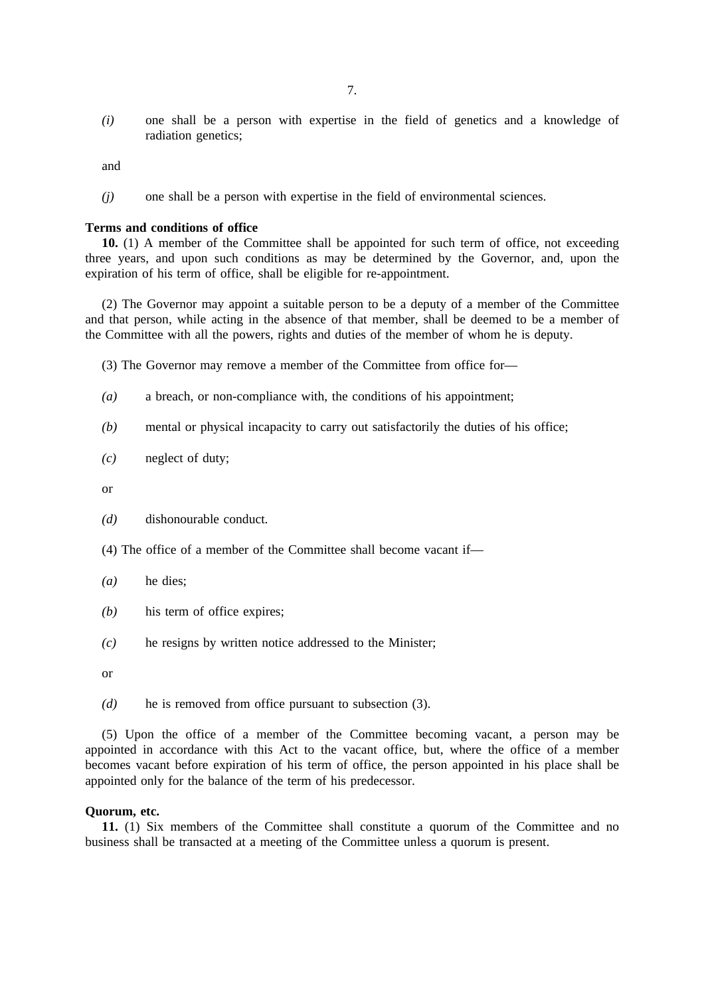*(i)* one shall be a person with expertise in the field of genetics and a knowledge of radiation genetics;

and

*(j)* one shall be a person with expertise in the field of environmental sciences.

#### **Terms and conditions of office**

**10.** (1) A member of the Committee shall be appointed for such term of office, not exceeding three years, and upon such conditions as may be determined by the Governor, and, upon the expiration of his term of office, shall be eligible for re-appointment.

(2) The Governor may appoint a suitable person to be a deputy of a member of the Committee and that person, while acting in the absence of that member, shall be deemed to be a member of the Committee with all the powers, rights and duties of the member of whom he is deputy.

(3) The Governor may remove a member of the Committee from office for—

- *(a)* a breach, or non-compliance with, the conditions of his appointment;
- *(b)* mental or physical incapacity to carry out satisfactorily the duties of his office;
- *(c)* neglect of duty;

or

- *(d)* dishonourable conduct.
- (4) The office of a member of the Committee shall become vacant if—
- *(a)* he dies;
- *(b)* his term of office expires;
- *(c)* he resigns by written notice addressed to the Minister;

or

*(d)* he is removed from office pursuant to subsection (3).

(5) Upon the office of a member of the Committee becoming vacant, a person may be appointed in accordance with this Act to the vacant office, but, where the office of a member becomes vacant before expiration of his term of office, the person appointed in his place shall be appointed only for the balance of the term of his predecessor.

# **Quorum, etc.**

**11.** (1) Six members of the Committee shall constitute a quorum of the Committee and no business shall be transacted at a meeting of the Committee unless a quorum is present.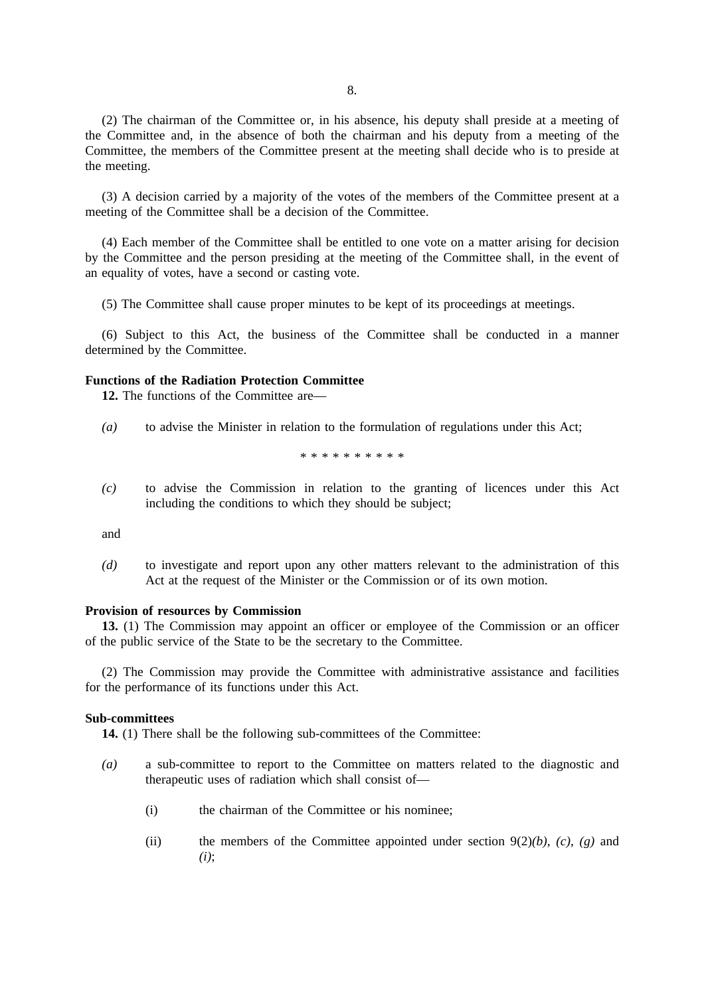(2) The chairman of the Committee or, in his absence, his deputy shall preside at a meeting of the Committee and, in the absence of both the chairman and his deputy from a meeting of the Committee, the members of the Committee present at the meeting shall decide who is to preside at the meeting.

(3) A decision carried by a majority of the votes of the members of the Committee present at a meeting of the Committee shall be a decision of the Committee.

(4) Each member of the Committee shall be entitled to one vote on a matter arising for decision by the Committee and the person presiding at the meeting of the Committee shall, in the event of an equality of votes, have a second or casting vote.

(5) The Committee shall cause proper minutes to be kept of its proceedings at meetings.

(6) Subject to this Act, the business of the Committee shall be conducted in a manner determined by the Committee.

### **Functions of the Radiation Protection Committee**

**12.** The functions of the Committee are—

*(a)* to advise the Minister in relation to the formulation of regulations under this Act;

\*\*\*\*\*\*\*\*\*\*

*(c)* to advise the Commission in relation to the granting of licences under this Act including the conditions to which they should be subject;

and

*(d)* to investigate and report upon any other matters relevant to the administration of this Act at the request of the Minister or the Commission or of its own motion.

#### **Provision of resources by Commission**

**13.** (1) The Commission may appoint an officer or employee of the Commission or an officer of the public service of the State to be the secretary to the Committee.

(2) The Commission may provide the Committee with administrative assistance and facilities for the performance of its functions under this Act.

# **Sub-committees**

**14.** (1) There shall be the following sub-committees of the Committee:

- *(a)* a sub-committee to report to the Committee on matters related to the diagnostic and therapeutic uses of radiation which shall consist of—
	- (i) the chairman of the Committee or his nominee;
	- (ii) the members of the Committee appointed under section 9(2)*(b)*, *(c)*, *(g)* and *(i)*;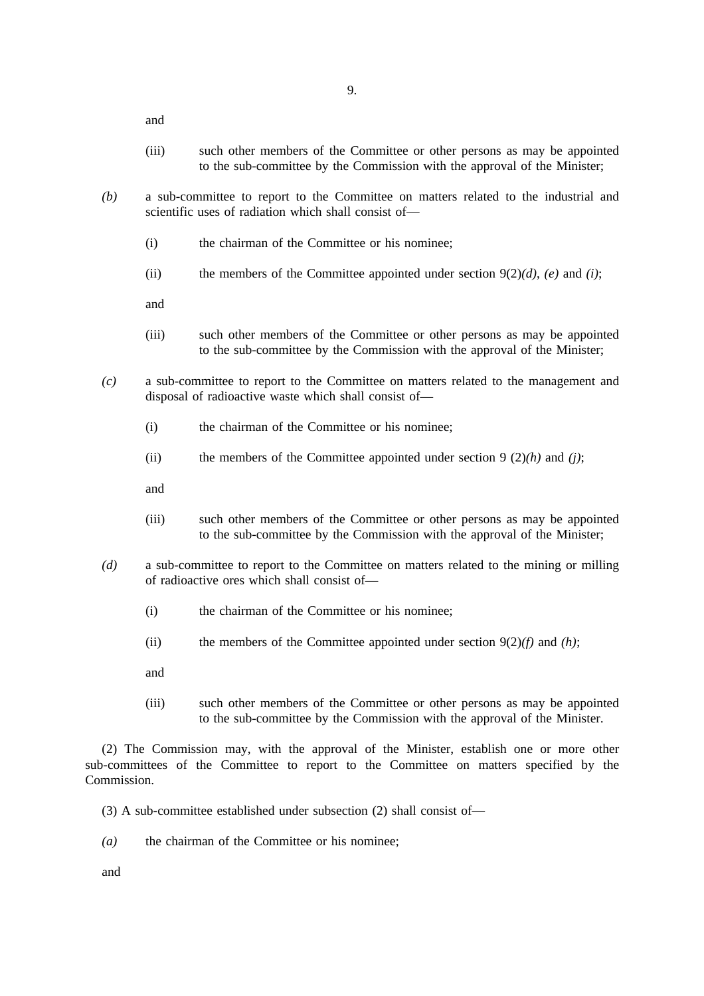and

- (iii) such other members of the Committee or other persons as may be appointed to the sub-committee by the Commission with the approval of the Minister;
- *(b)* a sub-committee to report to the Committee on matters related to the industrial and scientific uses of radiation which shall consist of—
	- (i) the chairman of the Committee or his nominee;
	- (ii) the members of the Committee appointed under section  $9(2)(d)$ , *(e)* and *(i)*;

and

- (iii) such other members of the Committee or other persons as may be appointed to the sub-committee by the Commission with the approval of the Minister;
- *(c)* a sub-committee to report to the Committee on matters related to the management and disposal of radioactive waste which shall consist of—
	- (i) the chairman of the Committee or his nominee;
	- (ii) the members of the Committee appointed under section 9 (2)*(h)* and *(j)*;

and

- (iii) such other members of the Committee or other persons as may be appointed to the sub-committee by the Commission with the approval of the Minister;
- *(d)* a sub-committee to report to the Committee on matters related to the mining or milling of radioactive ores which shall consist of—
	- (i) the chairman of the Committee or his nominee;
	- (ii) the members of the Committee appointed under section 9(2)*(f)* and *(h)*;
	- and
	- (iii) such other members of the Committee or other persons as may be appointed to the sub-committee by the Commission with the approval of the Minister.

(2) The Commission may, with the approval of the Minister, establish one or more other sub-committees of the Committee to report to the Committee on matters specified by the Commission.

- (3) A sub-committee established under subsection (2) shall consist of—
- *(a)* the chairman of the Committee or his nominee;

and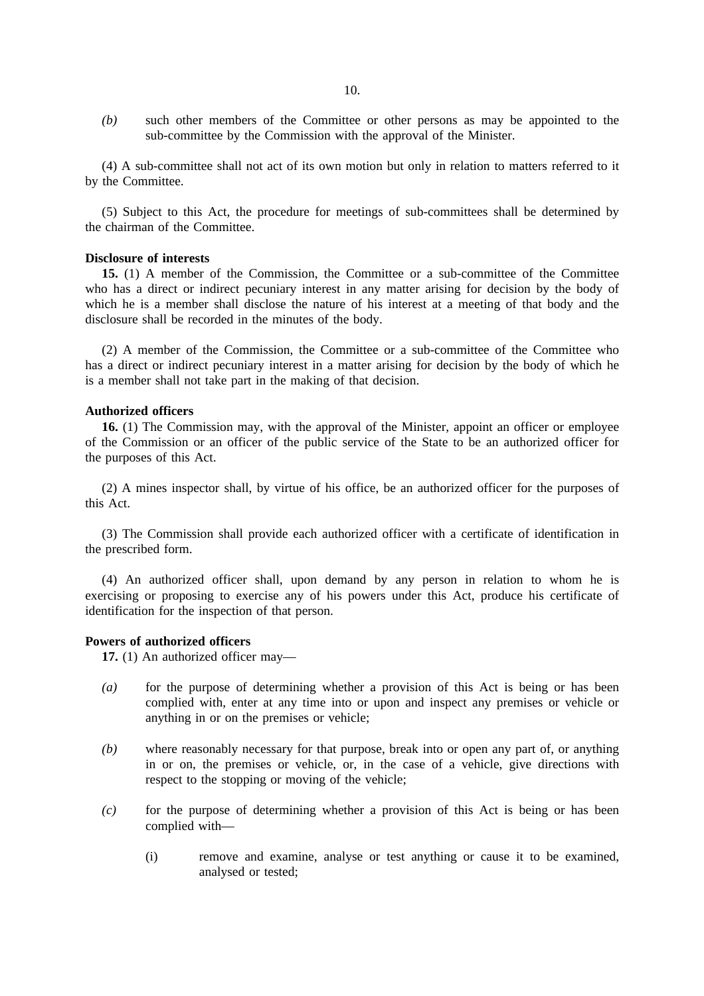*(b)* such other members of the Committee or other persons as may be appointed to the sub-committee by the Commission with the approval of the Minister.

(4) A sub-committee shall not act of its own motion but only in relation to matters referred to it by the Committee.

(5) Subject to this Act, the procedure for meetings of sub-committees shall be determined by the chairman of the Committee.

### **Disclosure of interests**

15. (1) A member of the Commission, the Committee or a sub-committee of the Committee who has a direct or indirect pecuniary interest in any matter arising for decision by the body of which he is a member shall disclose the nature of his interest at a meeting of that body and the disclosure shall be recorded in the minutes of the body.

(2) A member of the Commission, the Committee or a sub-committee of the Committee who has a direct or indirect pecuniary interest in a matter arising for decision by the body of which he is a member shall not take part in the making of that decision.

# **Authorized officers**

**16.** (1) The Commission may, with the approval of the Minister, appoint an officer or employee of the Commission or an officer of the public service of the State to be an authorized officer for the purposes of this Act.

(2) A mines inspector shall, by virtue of his office, be an authorized officer for the purposes of this Act.

(3) The Commission shall provide each authorized officer with a certificate of identification in the prescribed form.

(4) An authorized officer shall, upon demand by any person in relation to whom he is exercising or proposing to exercise any of his powers under this Act, produce his certificate of identification for the inspection of that person.

# **Powers of authorized officers**

**17.** (1) An authorized officer may—

- *(a)* for the purpose of determining whether a provision of this Act is being or has been complied with, enter at any time into or upon and inspect any premises or vehicle or anything in or on the premises or vehicle;
- *(b)* where reasonably necessary for that purpose, break into or open any part of, or anything in or on, the premises or vehicle, or, in the case of a vehicle, give directions with respect to the stopping or moving of the vehicle;
- *(c)* for the purpose of determining whether a provision of this Act is being or has been complied with—
	- (i) remove and examine, analyse or test anything or cause it to be examined, analysed or tested;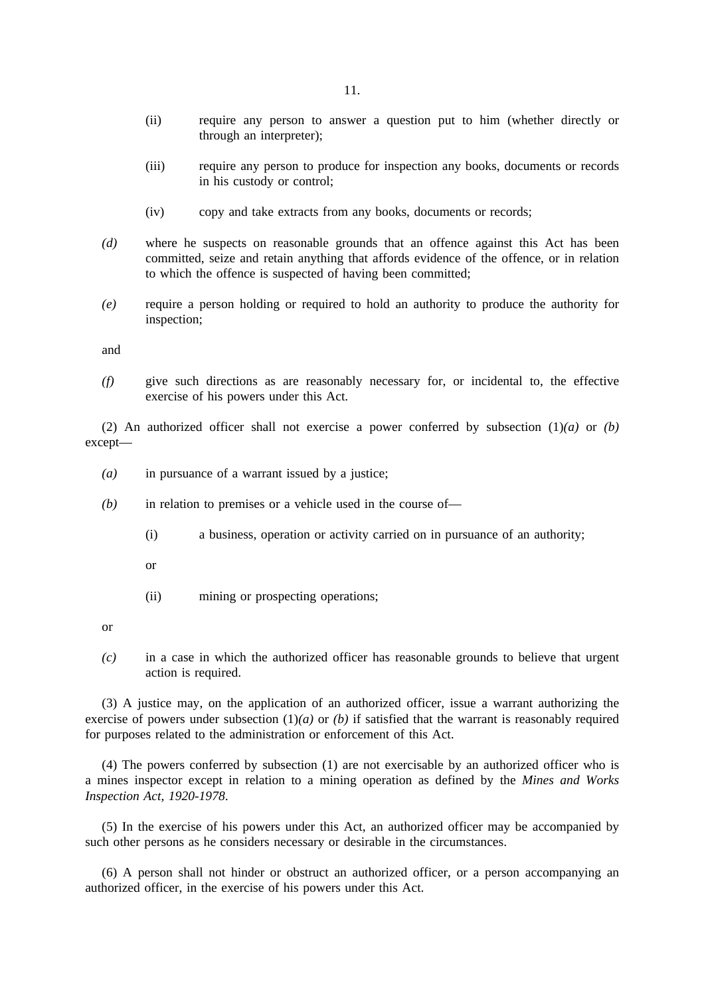- (ii) require any person to answer a question put to him (whether directly or through an interpreter);
- (iii) require any person to produce for inspection any books, documents or records in his custody or control;
- (iv) copy and take extracts from any books, documents or records;
- *(d)* where he suspects on reasonable grounds that an offence against this Act has been committed, seize and retain anything that affords evidence of the offence, or in relation to which the offence is suspected of having been committed;
- *(e)* require a person holding or required to hold an authority to produce the authority for inspection;

and

*(f)* give such directions as are reasonably necessary for, or incidental to, the effective exercise of his powers under this Act.

(2) An authorized officer shall not exercise a power conferred by subsection (1)*(a)* or *(b)* except—

- *(a)* in pursuance of a warrant issued by a justice;
- *(b)* in relation to premises or a vehicle used in the course of—
	- (i) a business, operation or activity carried on in pursuance of an authority;
	- or
	- (ii) mining or prospecting operations;

or

*(c)* in a case in which the authorized officer has reasonable grounds to believe that urgent action is required.

(3) A justice may, on the application of an authorized officer, issue a warrant authorizing the exercise of powers under subsection  $(1)(a)$  or  $(b)$  if satisfied that the warrant is reasonably required for purposes related to the administration or enforcement of this Act.

(4) The powers conferred by subsection (1) are not exercisable by an authorized officer who is a mines inspector except in relation to a mining operation as defined by the *Mines and Works Inspection Act, 1920-1978*.

(5) In the exercise of his powers under this Act, an authorized officer may be accompanied by such other persons as he considers necessary or desirable in the circumstances.

(6) A person shall not hinder or obstruct an authorized officer, or a person accompanying an authorized officer, in the exercise of his powers under this Act.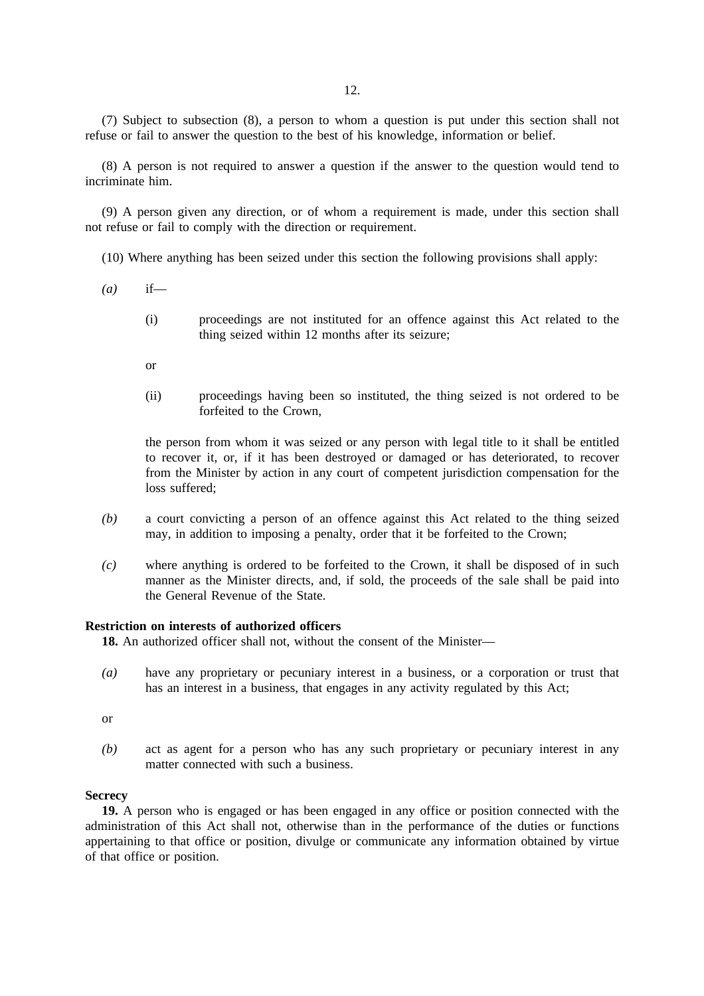(7) Subject to subsection (8), a person to whom a question is put under this section shall not refuse or fail to answer the question to the best of his knowledge, information or belief.

(8) A person is not required to answer a question if the answer to the question would tend to incriminate him.

(9) A person given any direction, or of whom a requirement is made, under this section shall not refuse or fail to comply with the direction or requirement.

(10) Where anything has been seized under this section the following provisions shall apply:

- *(a)* if—
	- (i) proceedings are not instituted for an offence against this Act related to the thing seized within 12 months after its seizure;
	- or
	- (ii) proceedings having been so instituted, the thing seized is not ordered to be forfeited to the Crown,

the person from whom it was seized or any person with legal title to it shall be entitled to recover it, or, if it has been destroyed or damaged or has deteriorated, to recover from the Minister by action in any court of competent jurisdiction compensation for the loss suffered;

- *(b)* a court convicting a person of an offence against this Act related to the thing seized may, in addition to imposing a penalty, order that it be forfeited to the Crown;
- *(c)* where anything is ordered to be forfeited to the Crown, it shall be disposed of in such manner as the Minister directs, and, if sold, the proceeds of the sale shall be paid into the General Revenue of the State.

## **Restriction on interests of authorized officers**

**18.** An authorized officer shall not, without the consent of the Minister—

*(a)* have any proprietary or pecuniary interest in a business, or a corporation or trust that has an interest in a business, that engages in any activity regulated by this Act;

or

*(b)* act as agent for a person who has any such proprietary or pecuniary interest in any matter connected with such a business.

# **Secrecy**

**19.** A person who is engaged or has been engaged in any office or position connected with the administration of this Act shall not, otherwise than in the performance of the duties or functions appertaining to that office or position, divulge or communicate any information obtained by virtue of that office or position.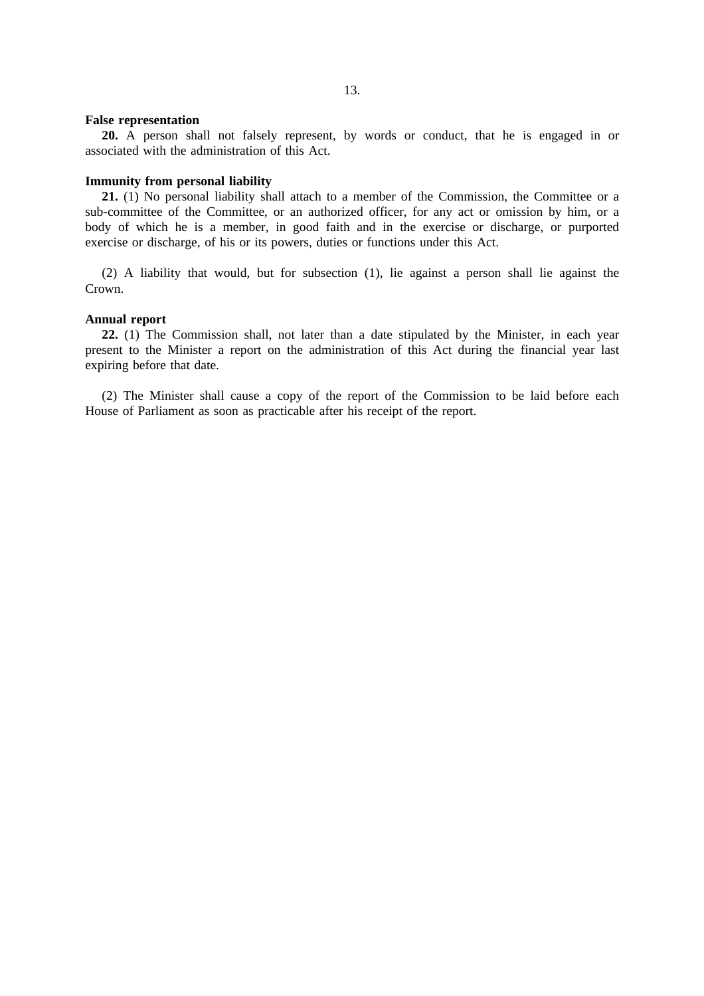#### **False representation**

**20.** A person shall not falsely represent, by words or conduct, that he is engaged in or associated with the administration of this Act.

# **Immunity from personal liability**

**21.** (1) No personal liability shall attach to a member of the Commission, the Committee or a sub-committee of the Committee, or an authorized officer, for any act or omission by him, or a body of which he is a member, in good faith and in the exercise or discharge, or purported exercise or discharge, of his or its powers, duties or functions under this Act.

(2) A liability that would, but for subsection (1), lie against a person shall lie against the Crown.

# **Annual report**

**22.** (1) The Commission shall, not later than a date stipulated by the Minister, in each year present to the Minister a report on the administration of this Act during the financial year last expiring before that date.

(2) The Minister shall cause a copy of the report of the Commission to be laid before each House of Parliament as soon as practicable after his receipt of the report.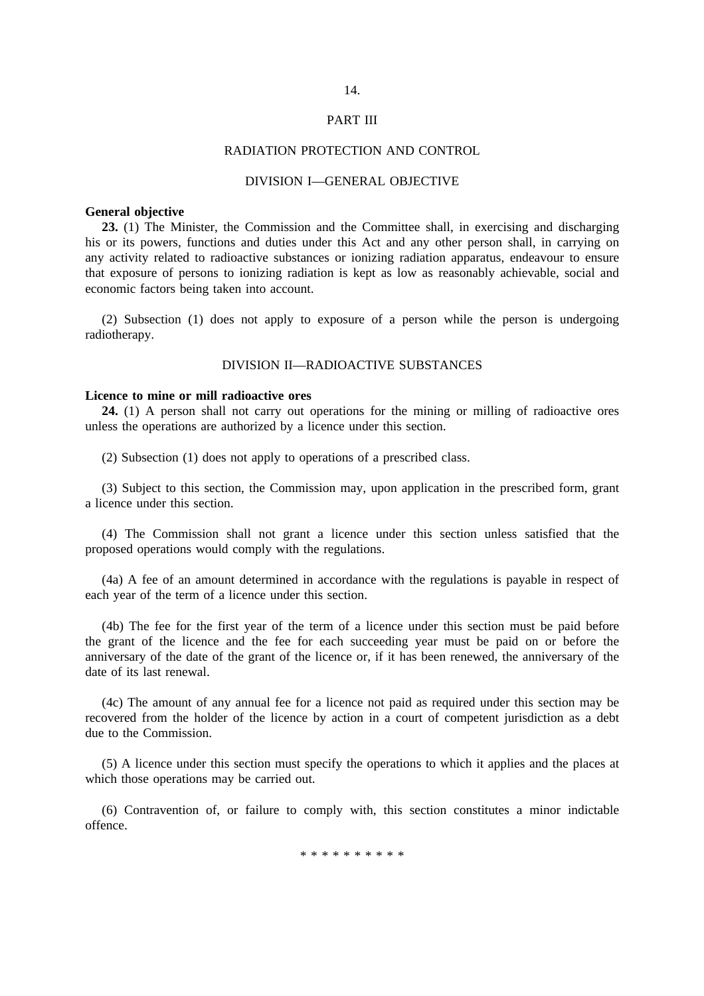#### PART III

# RADIATION PROTECTION AND CONTROL

### DIVISION I—GENERAL OBJECTIVE

#### **General objective**

**23.** (1) The Minister, the Commission and the Committee shall, in exercising and discharging his or its powers, functions and duties under this Act and any other person shall, in carrying on any activity related to radioactive substances or ionizing radiation apparatus, endeavour to ensure that exposure of persons to ionizing radiation is kept as low as reasonably achievable, social and economic factors being taken into account.

(2) Subsection (1) does not apply to exposure of a person while the person is undergoing radiotherapy.

#### DIVISION II—RADIOACTIVE SUBSTANCES

# **Licence to mine or mill radioactive ores**

**24.** (1) A person shall not carry out operations for the mining or milling of radioactive ores unless the operations are authorized by a licence under this section.

(2) Subsection (1) does not apply to operations of a prescribed class.

(3) Subject to this section, the Commission may, upon application in the prescribed form, grant a licence under this section.

(4) The Commission shall not grant a licence under this section unless satisfied that the proposed operations would comply with the regulations.

(4a) A fee of an amount determined in accordance with the regulations is payable in respect of each year of the term of a licence under this section.

(4b) The fee for the first year of the term of a licence under this section must be paid before the grant of the licence and the fee for each succeeding year must be paid on or before the anniversary of the date of the grant of the licence or, if it has been renewed, the anniversary of the date of its last renewal.

(4c) The amount of any annual fee for a licence not paid as required under this section may be recovered from the holder of the licence by action in a court of competent jurisdiction as a debt due to the Commission.

(5) A licence under this section must specify the operations to which it applies and the places at which those operations may be carried out.

(6) Contravention of, or failure to comply with, this section constitutes a minor indictable offence.

\*\*\*\*\*\*\*\*\*\*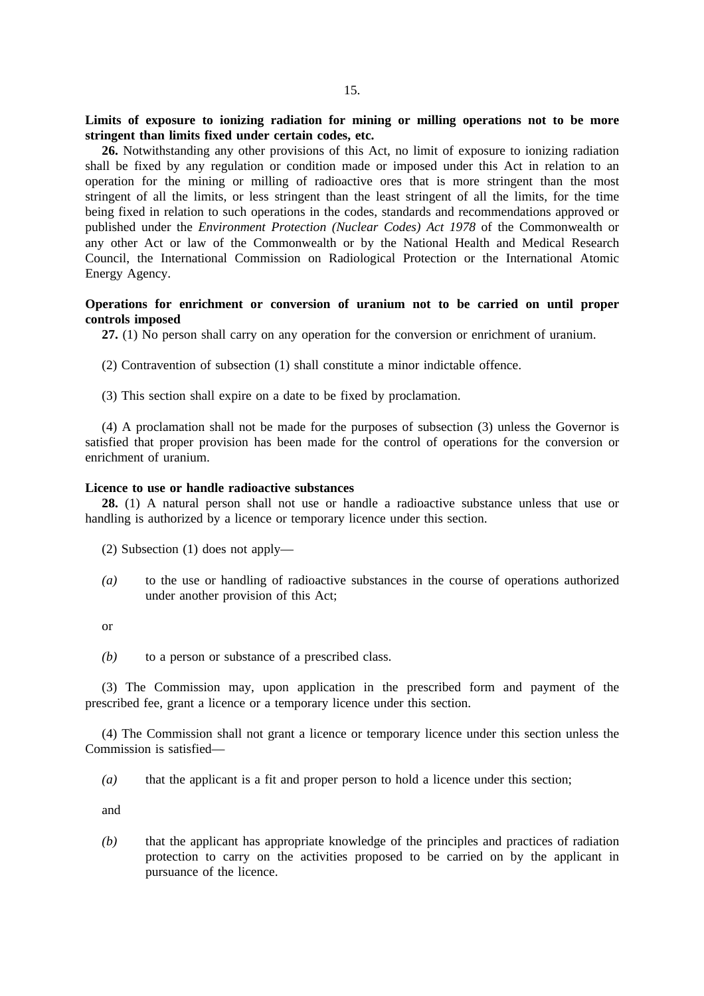**Limits of exposure to ionizing radiation for mining or milling operations not to be more stringent than limits fixed under certain codes, etc.**

**26.** Notwithstanding any other provisions of this Act, no limit of exposure to ionizing radiation shall be fixed by any regulation or condition made or imposed under this Act in relation to an operation for the mining or milling of radioactive ores that is more stringent than the most stringent of all the limits, or less stringent than the least stringent of all the limits, for the time being fixed in relation to such operations in the codes, standards and recommendations approved or published under the *Environment Protection (Nuclear Codes) Act 1978* of the Commonwealth or any other Act or law of the Commonwealth or by the National Health and Medical Research Council, the International Commission on Radiological Protection or the International Atomic Energy Agency.

# **Operations for enrichment or conversion of uranium not to be carried on until proper controls imposed**

**27.** (1) No person shall carry on any operation for the conversion or enrichment of uranium.

(2) Contravention of subsection (1) shall constitute a minor indictable offence.

(3) This section shall expire on a date to be fixed by proclamation.

(4) A proclamation shall not be made for the purposes of subsection (3) unless the Governor is satisfied that proper provision has been made for the control of operations for the conversion or enrichment of uranium.

#### **Licence to use or handle radioactive substances**

**28.** (1) A natural person shall not use or handle a radioactive substance unless that use or handling is authorized by a licence or temporary licence under this section.

(2) Subsection (1) does not apply—

*(a)* to the use or handling of radioactive substances in the course of operations authorized under another provision of this Act;

or

*(b)* to a person or substance of a prescribed class.

(3) The Commission may, upon application in the prescribed form and payment of the prescribed fee, grant a licence or a temporary licence under this section.

(4) The Commission shall not grant a licence or temporary licence under this section unless the Commission is satisfied—

*(a)* that the applicant is a fit and proper person to hold a licence under this section;

and

*(b)* that the applicant has appropriate knowledge of the principles and practices of radiation protection to carry on the activities proposed to be carried on by the applicant in pursuance of the licence.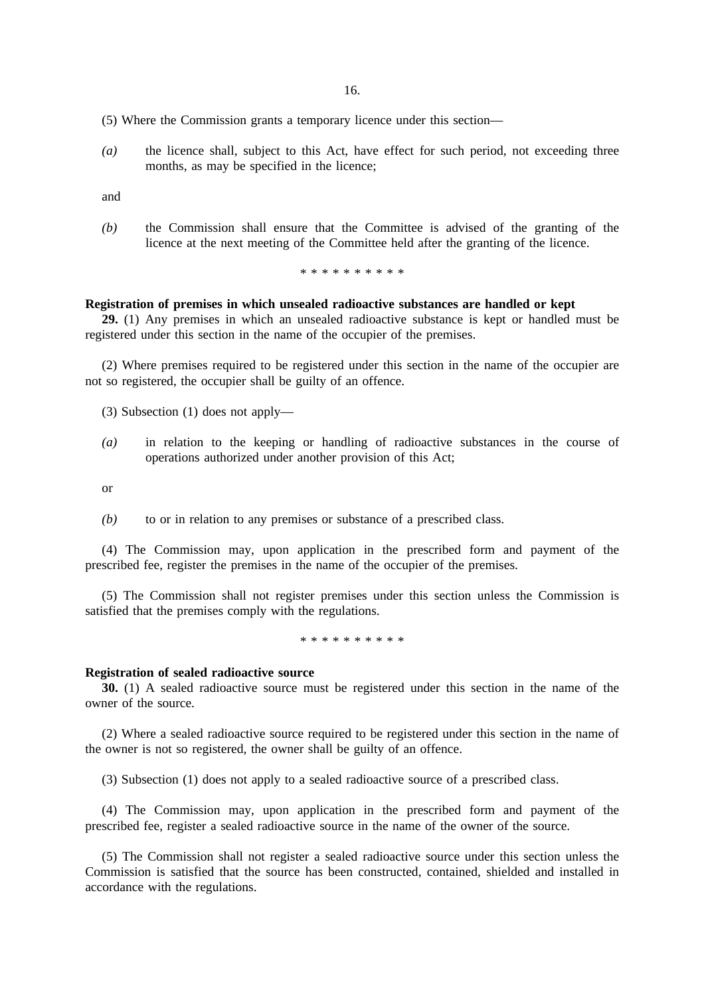16.

(5) Where the Commission grants a temporary licence under this section—

*(a)* the licence shall, subject to this Act, have effect for such period, not exceeding three months, as may be specified in the licence;

and

*(b)* the Commission shall ensure that the Committee is advised of the granting of the licence at the next meeting of the Committee held after the granting of the licence.

\*\*\*\*\*\*\*\*\*\*

#### **Registration of premises in which unsealed radioactive substances are handled or kept**

**29.** (1) Any premises in which an unsealed radioactive substance is kept or handled must be registered under this section in the name of the occupier of the premises.

(2) Where premises required to be registered under this section in the name of the occupier are not so registered, the occupier shall be guilty of an offence.

(3) Subsection (1) does not apply—

*(a)* in relation to the keeping or handling of radioactive substances in the course of operations authorized under another provision of this Act;

or

*(b)* to or in relation to any premises or substance of a prescribed class.

(4) The Commission may, upon application in the prescribed form and payment of the prescribed fee, register the premises in the name of the occupier of the premises.

(5) The Commission shall not register premises under this section unless the Commission is satisfied that the premises comply with the regulations.

\*\*\*\*\*\*\*\*\*\*\*\*\*\*\*\*

#### **Registration of sealed radioactive source**

**30.** (1) A sealed radioactive source must be registered under this section in the name of the owner of the source.

(2) Where a sealed radioactive source required to be registered under this section in the name of the owner is not so registered, the owner shall be guilty of an offence.

(3) Subsection (1) does not apply to a sealed radioactive source of a prescribed class.

(4) The Commission may, upon application in the prescribed form and payment of the prescribed fee, register a sealed radioactive source in the name of the owner of the source.

(5) The Commission shall not register a sealed radioactive source under this section unless the Commission is satisfied that the source has been constructed, contained, shielded and installed in accordance with the regulations.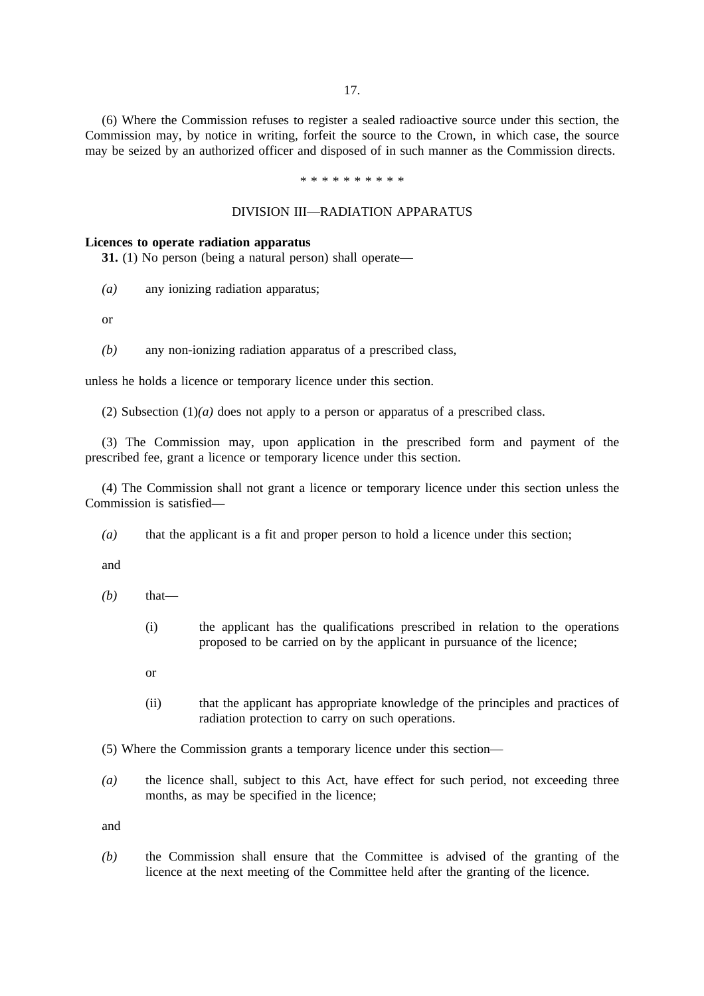17.

(6) Where the Commission refuses to register a sealed radioactive source under this section, the Commission may, by notice in writing, forfeit the source to the Crown, in which case, the source may be seized by an authorized officer and disposed of in such manner as the Commission directs.

\*\*\*\*\*\*\*\*\*\*

### DIVISION III—RADIATION APPARATUS

#### **Licences to operate radiation apparatus**

**31.** (1) No person (being a natural person) shall operate—

*(a)* any ionizing radiation apparatus;

or

*(b)* any non-ionizing radiation apparatus of a prescribed class,

unless he holds a licence or temporary licence under this section.

(2) Subsection (1)*(a)* does not apply to a person or apparatus of a prescribed class.

(3) The Commission may, upon application in the prescribed form and payment of the prescribed fee, grant a licence or temporary licence under this section.

(4) The Commission shall not grant a licence or temporary licence under this section unless the Commission is satisfied—

*(a)* that the applicant is a fit and proper person to hold a licence under this section;

and

- $(b)$  that—
	- (i) the applicant has the qualifications prescribed in relation to the operations proposed to be carried on by the applicant in pursuance of the licence;
	- or
	- (ii) that the applicant has appropriate knowledge of the principles and practices of radiation protection to carry on such operations.

(5) Where the Commission grants a temporary licence under this section—

*(a)* the licence shall, subject to this Act, have effect for such period, not exceeding three months, as may be specified in the licence;

and

*(b)* the Commission shall ensure that the Committee is advised of the granting of the licence at the next meeting of the Committee held after the granting of the licence.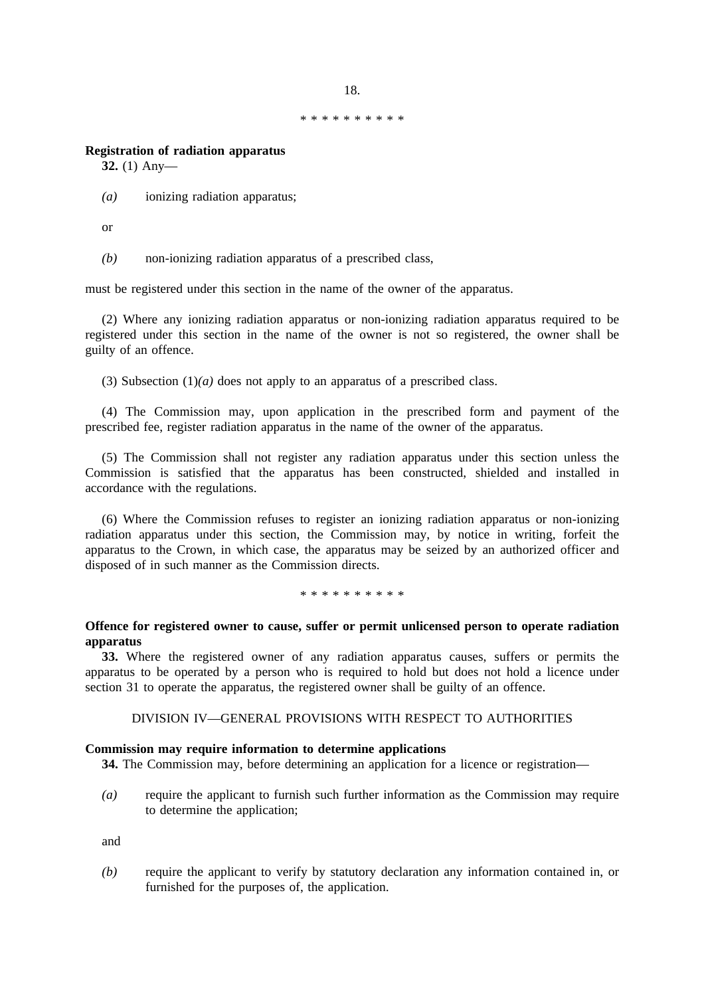\*\*\*\*\*\*\*\*\*\*

18.

# **Registration of radiation apparatus**

**32.** (1) Any—

*(a)* ionizing radiation apparatus;

or

*(b)* non-ionizing radiation apparatus of a prescribed class,

must be registered under this section in the name of the owner of the apparatus.

(2) Where any ionizing radiation apparatus or non-ionizing radiation apparatus required to be registered under this section in the name of the owner is not so registered, the owner shall be guilty of an offence.

(3) Subsection (1)*(a)* does not apply to an apparatus of a prescribed class.

(4) The Commission may, upon application in the prescribed form and payment of the prescribed fee, register radiation apparatus in the name of the owner of the apparatus.

(5) The Commission shall not register any radiation apparatus under this section unless the Commission is satisfied that the apparatus has been constructed, shielded and installed in accordance with the regulations.

(6) Where the Commission refuses to register an ionizing radiation apparatus or non-ionizing radiation apparatus under this section, the Commission may, by notice in writing, forfeit the apparatus to the Crown, in which case, the apparatus may be seized by an authorized officer and disposed of in such manner as the Commission directs.

\*\*\*\*\*\*\*\*\*\*\*\*\*\*

# **Offence for registered owner to cause, suffer or permit unlicensed person to operate radiation apparatus**

**33.** Where the registered owner of any radiation apparatus causes, suffers or permits the apparatus to be operated by a person who is required to hold but does not hold a licence under section 31 to operate the apparatus, the registered owner shall be guilty of an offence.

# DIVISION IV—GENERAL PROVISIONS WITH RESPECT TO AUTHORITIES

# **Commission may require information to determine applications**

**34.** The Commission may, before determining an application for a licence or registration—

*(a)* require the applicant to furnish such further information as the Commission may require to determine the application;

and

*(b)* require the applicant to verify by statutory declaration any information contained in, or furnished for the purposes of, the application.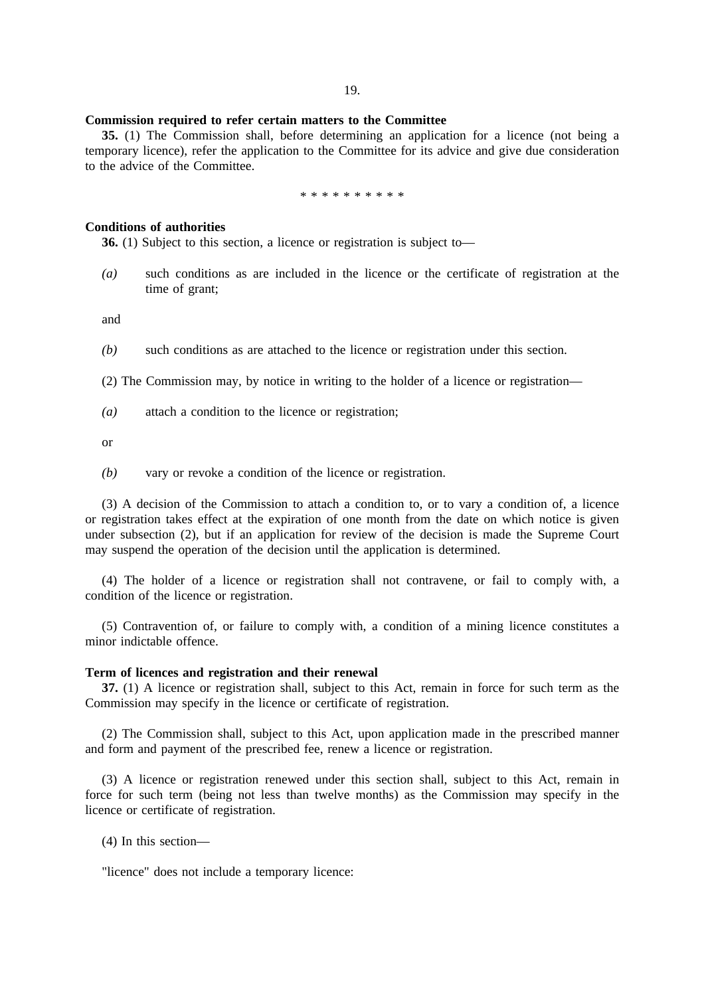### **Commission required to refer certain matters to the Committee**

**35.** (1) The Commission shall, before determining an application for a licence (not being a temporary licence), refer the application to the Committee for its advice and give due consideration to the advice of the Committee.

#### \*\*\*\*\*\*\*\*\*\*

# **Conditions of authorities**

**36.** (1) Subject to this section, a licence or registration is subject to—

*(a)* such conditions as are included in the licence or the certificate of registration at the time of grant;

and

*(b)* such conditions as are attached to the licence or registration under this section.

(2) The Commission may, by notice in writing to the holder of a licence or registration—

*(a)* attach a condition to the licence or registration;

or

*(b)* vary or revoke a condition of the licence or registration.

(3) A decision of the Commission to attach a condition to, or to vary a condition of, a licence or registration takes effect at the expiration of one month from the date on which notice is given under subsection (2), but if an application for review of the decision is made the Supreme Court may suspend the operation of the decision until the application is determined.

(4) The holder of a licence or registration shall not contravene, or fail to comply with, a condition of the licence or registration.

(5) Contravention of, or failure to comply with, a condition of a mining licence constitutes a minor indictable offence.

# **Term of licences and registration and their renewal**

**37.** (1) A licence or registration shall, subject to this Act, remain in force for such term as the Commission may specify in the licence or certificate of registration.

(2) The Commission shall, subject to this Act, upon application made in the prescribed manner and form and payment of the prescribed fee, renew a licence or registration.

(3) A licence or registration renewed under this section shall, subject to this Act, remain in force for such term (being not less than twelve months) as the Commission may specify in the licence or certificate of registration.

(4) In this section—

"licence" does not include a temporary licence: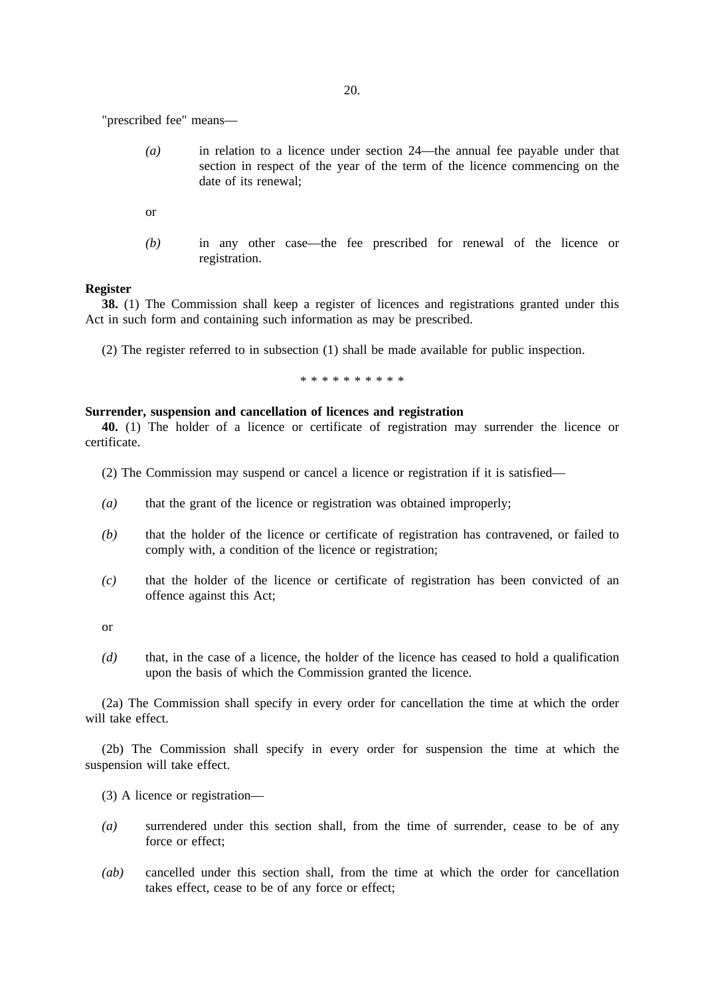"prescribed fee" means—

- *(a)* in relation to a licence under section 24—the annual fee payable under that section in respect of the year of the term of the licence commencing on the date of its renewal;
- or
- *(b)* in any other case—the fee prescribed for renewal of the licence or registration.

#### **Register**

**38.** (1) The Commission shall keep a register of licences and registrations granted under this Act in such form and containing such information as may be prescribed.

(2) The register referred to in subsection (1) shall be made available for public inspection.

\*\*\*\*\*\*\*\*\*\*

#### **Surrender, suspension and cancellation of licences and registration**

**40.** (1) The holder of a licence or certificate of registration may surrender the licence or certificate.

- (2) The Commission may suspend or cancel a licence or registration if it is satisfied—
- *(a)* that the grant of the licence or registration was obtained improperly;
- *(b)* that the holder of the licence or certificate of registration has contravened, or failed to comply with, a condition of the licence or registration;
- *(c)* that the holder of the licence or certificate of registration has been convicted of an offence against this Act;

or

*(d)* that, in the case of a licence, the holder of the licence has ceased to hold a qualification upon the basis of which the Commission granted the licence.

(2a) The Commission shall specify in every order for cancellation the time at which the order will take effect.

(2b) The Commission shall specify in every order for suspension the time at which the suspension will take effect.

- (3) A licence or registration—
- *(a)* surrendered under this section shall, from the time of surrender, cease to be of any force or effect;
- *(ab)* cancelled under this section shall, from the time at which the order for cancellation takes effect, cease to be of any force or effect;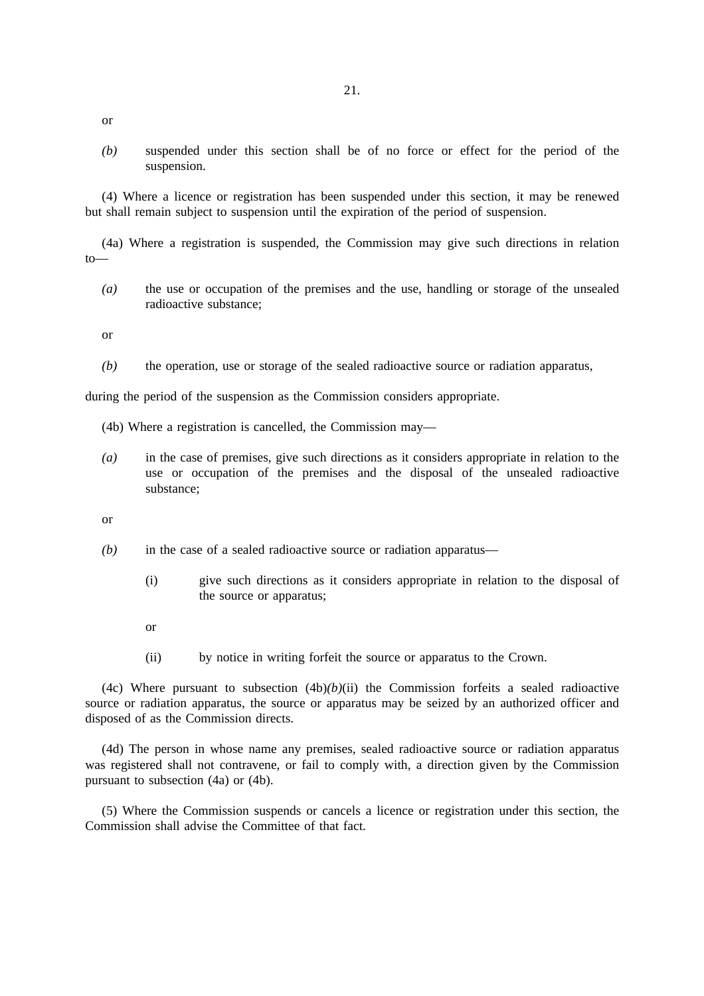or

*(b)* suspended under this section shall be of no force or effect for the period of the suspension.

(4) Where a licence or registration has been suspended under this section, it may be renewed but shall remain subject to suspension until the expiration of the period of suspension.

(4a) Where a registration is suspended, the Commission may give such directions in relation to—

*(a)* the use or occupation of the premises and the use, handling or storage of the unsealed radioactive substance;

or

*(b)* the operation, use or storage of the sealed radioactive source or radiation apparatus,

during the period of the suspension as the Commission considers appropriate.

(4b) Where a registration is cancelled, the Commission may—

*(a)* in the case of premises, give such directions as it considers appropriate in relation to the use or occupation of the premises and the disposal of the unsealed radioactive substance;

or

- *(b)* in the case of a sealed radioactive source or radiation apparatus—
	- (i) give such directions as it considers appropriate in relation to the disposal of the source or apparatus;
	- or
	- (ii) by notice in writing forfeit the source or apparatus to the Crown.

(4c) Where pursuant to subsection  $(4b)(b)(ii)$  the Commission forfeits a sealed radioactive source or radiation apparatus, the source or apparatus may be seized by an authorized officer and disposed of as the Commission directs.

(4d) The person in whose name any premises, sealed radioactive source or radiation apparatus was registered shall not contravene, or fail to comply with, a direction given by the Commission pursuant to subsection (4a) or (4b).

(5) Where the Commission suspends or cancels a licence or registration under this section, the Commission shall advise the Committee of that fact.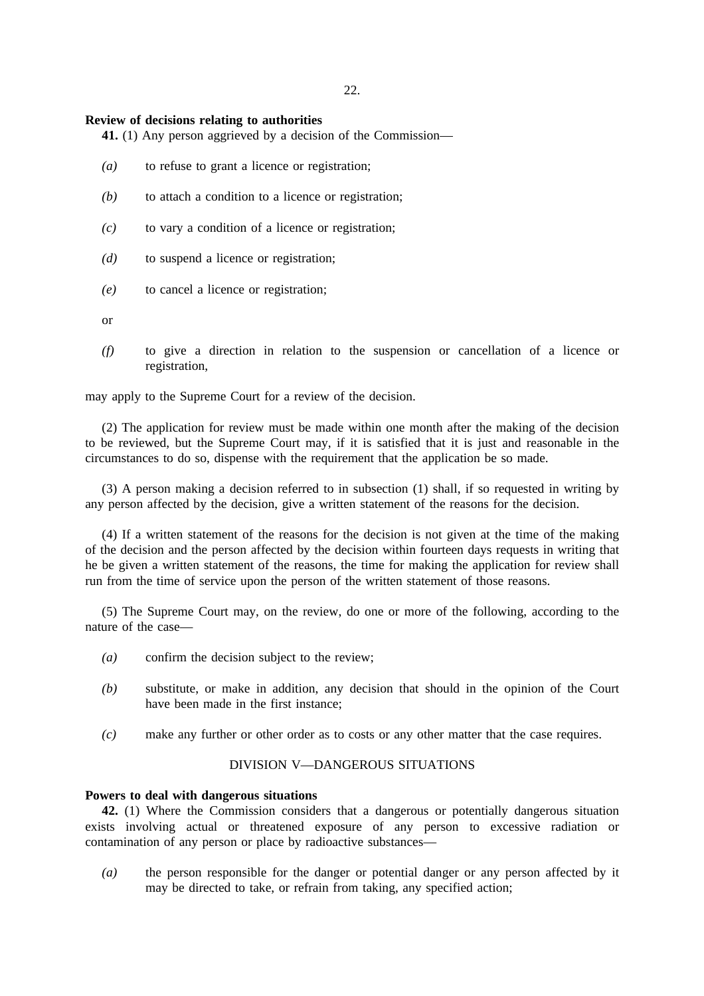22.

### **Review of decisions relating to authorities**

**41.** (1) Any person aggrieved by a decision of the Commission—

- *(a)* to refuse to grant a licence or registration;
- *(b)* to attach a condition to a licence or registration;
- *(c)* to vary a condition of a licence or registration;
- *(d)* to suspend a licence or registration;
- *(e)* to cancel a licence or registration;

or

*(f)* to give a direction in relation to the suspension or cancellation of a licence or registration,

may apply to the Supreme Court for a review of the decision.

(2) The application for review must be made within one month after the making of the decision to be reviewed, but the Supreme Court may, if it is satisfied that it is just and reasonable in the circumstances to do so, dispense with the requirement that the application be so made.

(3) A person making a decision referred to in subsection (1) shall, if so requested in writing by any person affected by the decision, give a written statement of the reasons for the decision.

(4) If a written statement of the reasons for the decision is not given at the time of the making of the decision and the person affected by the decision within fourteen days requests in writing that he be given a written statement of the reasons, the time for making the application for review shall run from the time of service upon the person of the written statement of those reasons.

(5) The Supreme Court may, on the review, do one or more of the following, according to the nature of the case—

- *(a)* confirm the decision subject to the review;
- *(b)* substitute, or make in addition, any decision that should in the opinion of the Court have been made in the first instance;
- *(c)* make any further or other order as to costs or any other matter that the case requires.

# DIVISION V—DANGEROUS SITUATIONS

#### **Powers to deal with dangerous situations**

**42.** (1) Where the Commission considers that a dangerous or potentially dangerous situation exists involving actual or threatened exposure of any person to excessive radiation or contamination of any person or place by radioactive substances—

*(a)* the person responsible for the danger or potential danger or any person affected by it may be directed to take, or refrain from taking, any specified action;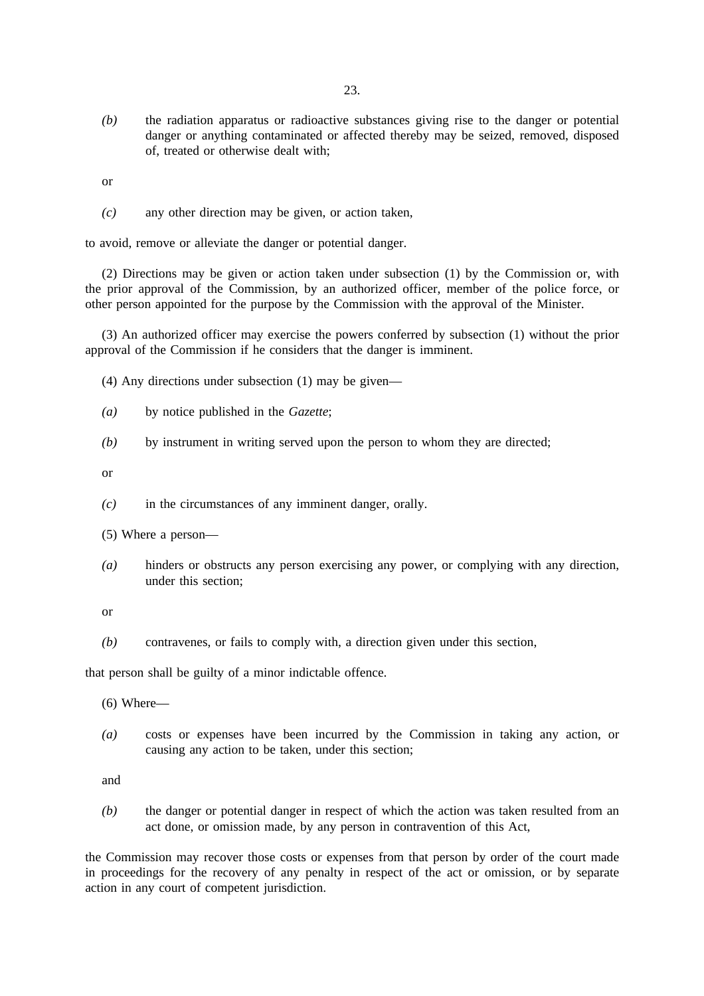*(b)* the radiation apparatus or radioactive substances giving rise to the danger or potential danger or anything contaminated or affected thereby may be seized, removed, disposed of, treated or otherwise dealt with;

or

*(c)* any other direction may be given, or action taken,

to avoid, remove or alleviate the danger or potential danger.

(2) Directions may be given or action taken under subsection (1) by the Commission or, with the prior approval of the Commission, by an authorized officer, member of the police force, or other person appointed for the purpose by the Commission with the approval of the Minister.

(3) An authorized officer may exercise the powers conferred by subsection (1) without the prior approval of the Commission if he considers that the danger is imminent.

(4) Any directions under subsection (1) may be given—

- *(a)* by notice published in the *Gazette*;
- *(b)* by instrument in writing served upon the person to whom they are directed;

or

- *(c)* in the circumstances of any imminent danger, orally.
- (5) Where a person—
- *(a)* hinders or obstructs any person exercising any power, or complying with any direction, under this section;

or

*(b)* contravenes, or fails to comply with, a direction given under this section,

that person shall be guilty of a minor indictable offence.

(6) Where—

*(a)* costs or expenses have been incurred by the Commission in taking any action, or causing any action to be taken, under this section;

and

*(b)* the danger or potential danger in respect of which the action was taken resulted from an act done, or omission made, by any person in contravention of this Act,

the Commission may recover those costs or expenses from that person by order of the court made in proceedings for the recovery of any penalty in respect of the act or omission, or by separate action in any court of competent jurisdiction.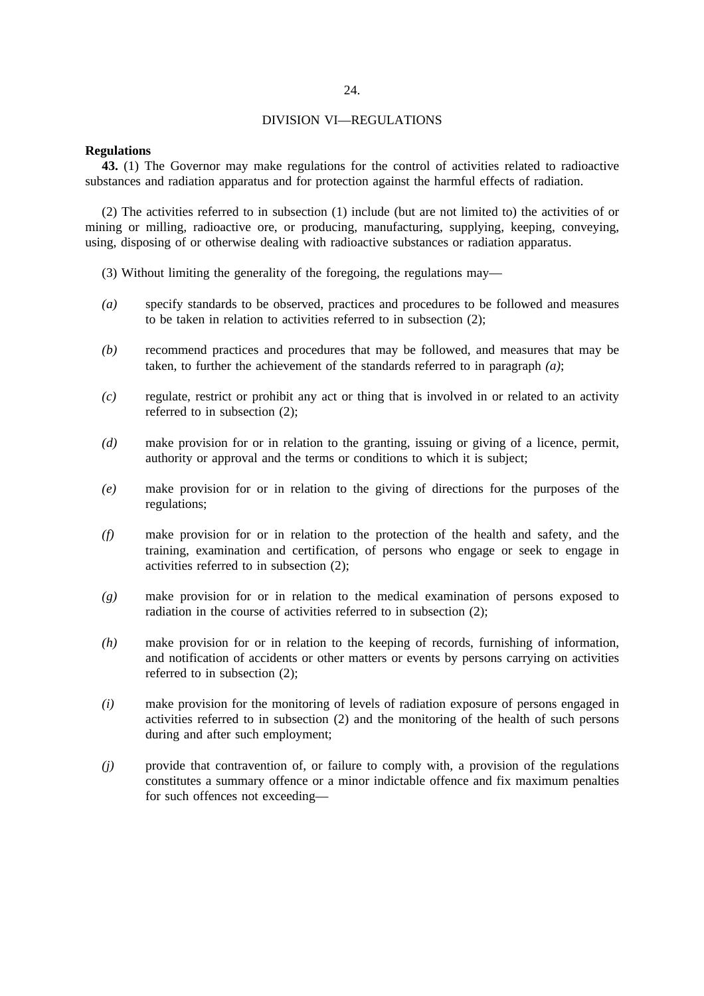# 24.

# DIVISION VI—REGULATIONS

# **Regulations**

**43.** (1) The Governor may make regulations for the control of activities related to radioactive substances and radiation apparatus and for protection against the harmful effects of radiation.

(2) The activities referred to in subsection (1) include (but are not limited to) the activities of or mining or milling, radioactive ore, or producing, manufacturing, supplying, keeping, conveying, using, disposing of or otherwise dealing with radioactive substances or radiation apparatus.

- (3) Without limiting the generality of the foregoing, the regulations may—
- *(a)* specify standards to be observed, practices and procedures to be followed and measures to be taken in relation to activities referred to in subsection (2);
- *(b)* recommend practices and procedures that may be followed, and measures that may be taken, to further the achievement of the standards referred to in paragraph *(a)*;
- *(c)* regulate, restrict or prohibit any act or thing that is involved in or related to an activity referred to in subsection (2);
- *(d)* make provision for or in relation to the granting, issuing or giving of a licence, permit, authority or approval and the terms or conditions to which it is subject;
- *(e)* make provision for or in relation to the giving of directions for the purposes of the regulations;
- *(f)* make provision for or in relation to the protection of the health and safety, and the training, examination and certification, of persons who engage or seek to engage in activities referred to in subsection (2);
- *(g)* make provision for or in relation to the medical examination of persons exposed to radiation in the course of activities referred to in subsection (2);
- *(h)* make provision for or in relation to the keeping of records, furnishing of information, and notification of accidents or other matters or events by persons carrying on activities referred to in subsection (2);
- *(i)* make provision for the monitoring of levels of radiation exposure of persons engaged in activities referred to in subsection (2) and the monitoring of the health of such persons during and after such employment;
- *(j)* provide that contravention of, or failure to comply with, a provision of the regulations constitutes a summary offence or a minor indictable offence and fix maximum penalties for such offences not exceeding—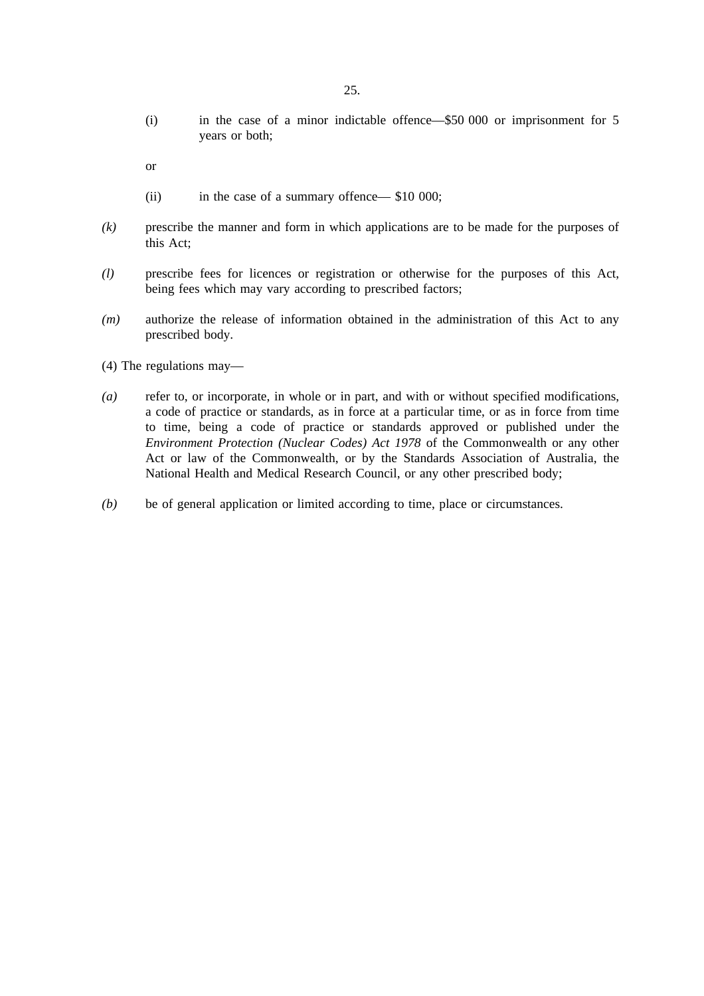(i) in the case of a minor indictable offence—\$50 000 or imprisonment for 5 years or both;

or

- (ii) in the case of a summary offence— \$10 000;
- *(k)* prescribe the manner and form in which applications are to be made for the purposes of this Act;
- *(l)* prescribe fees for licences or registration or otherwise for the purposes of this Act, being fees which may vary according to prescribed factors;
- *(m)* authorize the release of information obtained in the administration of this Act to any prescribed body.
- (4) The regulations may—
- *(a)* refer to, or incorporate, in whole or in part, and with or without specified modifications, a code of practice or standards, as in force at a particular time, or as in force from time to time, being a code of practice or standards approved or published under the *Environment Protection (Nuclear Codes) Act 1978* of the Commonwealth or any other Act or law of the Commonwealth, or by the Standards Association of Australia, the National Health and Medical Research Council, or any other prescribed body;
- *(b)* be of general application or limited according to time, place or circumstances.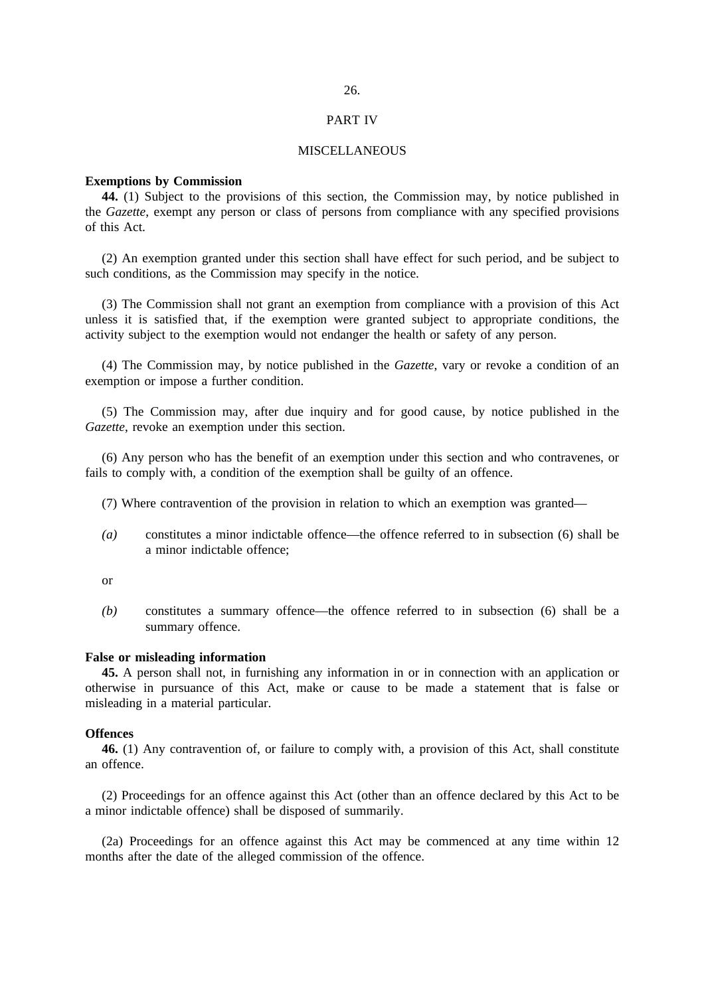#### PART IV

### MISCELLANEOUS

#### **Exemptions by Commission**

**44.** (1) Subject to the provisions of this section, the Commission may, by notice published in the *Gazette*, exempt any person or class of persons from compliance with any specified provisions of this Act.

(2) An exemption granted under this section shall have effect for such period, and be subject to such conditions, as the Commission may specify in the notice.

(3) The Commission shall not grant an exemption from compliance with a provision of this Act unless it is satisfied that, if the exemption were granted subject to appropriate conditions, the activity subject to the exemption would not endanger the health or safety of any person.

(4) The Commission may, by notice published in the *Gazette*, vary or revoke a condition of an exemption or impose a further condition.

(5) The Commission may, after due inquiry and for good cause, by notice published in the *Gazette*, revoke an exemption under this section.

(6) Any person who has the benefit of an exemption under this section and who contravenes, or fails to comply with, a condition of the exemption shall be guilty of an offence.

(7) Where contravention of the provision in relation to which an exemption was granted—

*(a)* constitutes a minor indictable offence—the offence referred to in subsection (6) shall be a minor indictable offence;

or

*(b)* constitutes a summary offence—the offence referred to in subsection (6) shall be a summary offence.

#### **False or misleading information**

**45.** A person shall not, in furnishing any information in or in connection with an application or otherwise in pursuance of this Act, make or cause to be made a statement that is false or misleading in a material particular.

#### **Offences**

**46.** (1) Any contravention of, or failure to comply with, a provision of this Act, shall constitute an offence.

(2) Proceedings for an offence against this Act (other than an offence declared by this Act to be a minor indictable offence) shall be disposed of summarily.

(2a) Proceedings for an offence against this Act may be commenced at any time within 12 months after the date of the alleged commission of the offence.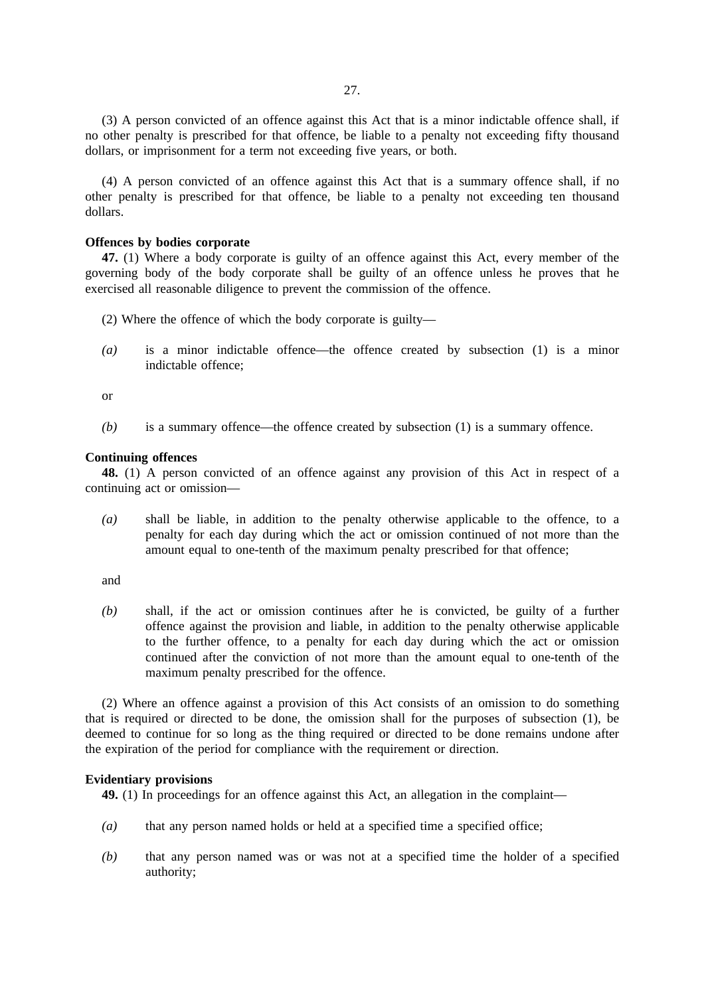(3) A person convicted of an offence against this Act that is a minor indictable offence shall, if no other penalty is prescribed for that offence, be liable to a penalty not exceeding fifty thousand dollars, or imprisonment for a term not exceeding five years, or both.

(4) A person convicted of an offence against this Act that is a summary offence shall, if no other penalty is prescribed for that offence, be liable to a penalty not exceeding ten thousand dollars.

#### **Offences by bodies corporate**

**47.** (1) Where a body corporate is guilty of an offence against this Act, every member of the governing body of the body corporate shall be guilty of an offence unless he proves that he exercised all reasonable diligence to prevent the commission of the offence.

- (2) Where the offence of which the body corporate is guilty—
- *(a)* is a minor indictable offence—the offence created by subsection (1) is a minor indictable offence;

or

*(b)* is a summary offence—the offence created by subsection (1) is a summary offence.

#### **Continuing offences**

**48.** (1) A person convicted of an offence against any provision of this Act in respect of a continuing act or omission—

*(a)* shall be liable, in addition to the penalty otherwise applicable to the offence, to a penalty for each day during which the act or omission continued of not more than the amount equal to one-tenth of the maximum penalty prescribed for that offence;

and

*(b)* shall, if the act or omission continues after he is convicted, be guilty of a further offence against the provision and liable, in addition to the penalty otherwise applicable to the further offence, to a penalty for each day during which the act or omission continued after the conviction of not more than the amount equal to one-tenth of the maximum penalty prescribed for the offence.

(2) Where an offence against a provision of this Act consists of an omission to do something that is required or directed to be done, the omission shall for the purposes of subsection (1), be deemed to continue for so long as the thing required or directed to be done remains undone after the expiration of the period for compliance with the requirement or direction.

#### **Evidentiary provisions**

**49.** (1) In proceedings for an offence against this Act, an allegation in the complaint—

- *(a)* that any person named holds or held at a specified time a specified office;
- *(b)* that any person named was or was not at a specified time the holder of a specified authority;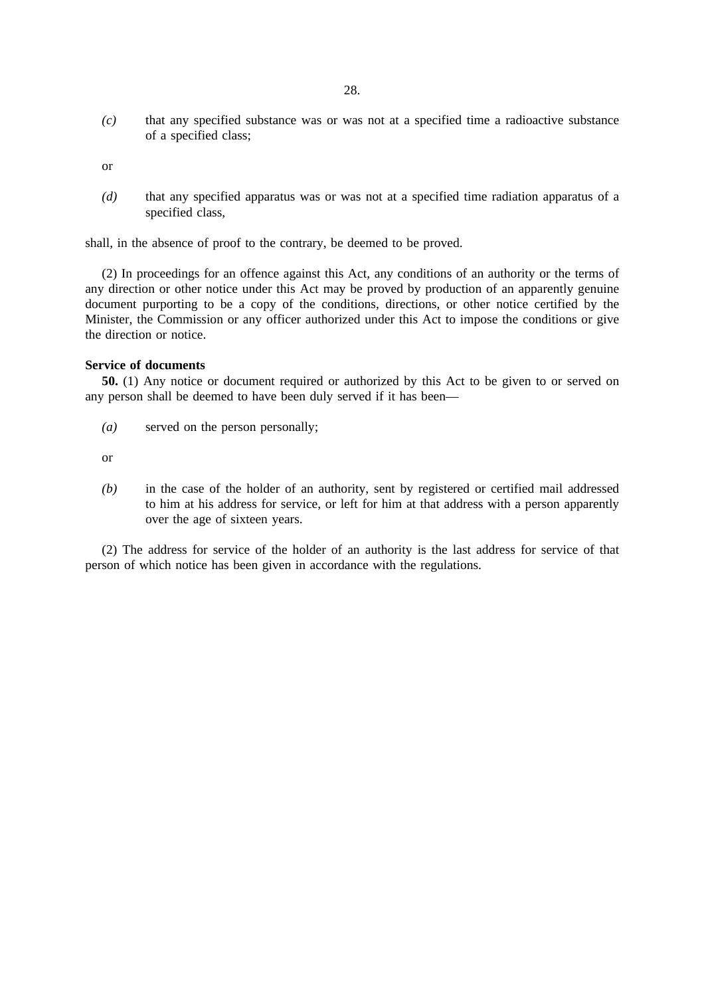*(c)* that any specified substance was or was not at a specified time a radioactive substance of a specified class;

or

*(d)* that any specified apparatus was or was not at a specified time radiation apparatus of a specified class,

shall, in the absence of proof to the contrary, be deemed to be proved.

(2) In proceedings for an offence against this Act, any conditions of an authority or the terms of any direction or other notice under this Act may be proved by production of an apparently genuine document purporting to be a copy of the conditions, directions, or other notice certified by the Minister, the Commission or any officer authorized under this Act to impose the conditions or give the direction or notice.

#### **Service of documents**

**50.** (1) Any notice or document required or authorized by this Act to be given to or served on any person shall be deemed to have been duly served if it has been—

*(a)* served on the person personally;

or

*(b)* in the case of the holder of an authority, sent by registered or certified mail addressed to him at his address for service, or left for him at that address with a person apparently over the age of sixteen years.

(2) The address for service of the holder of an authority is the last address for service of that person of which notice has been given in accordance with the regulations.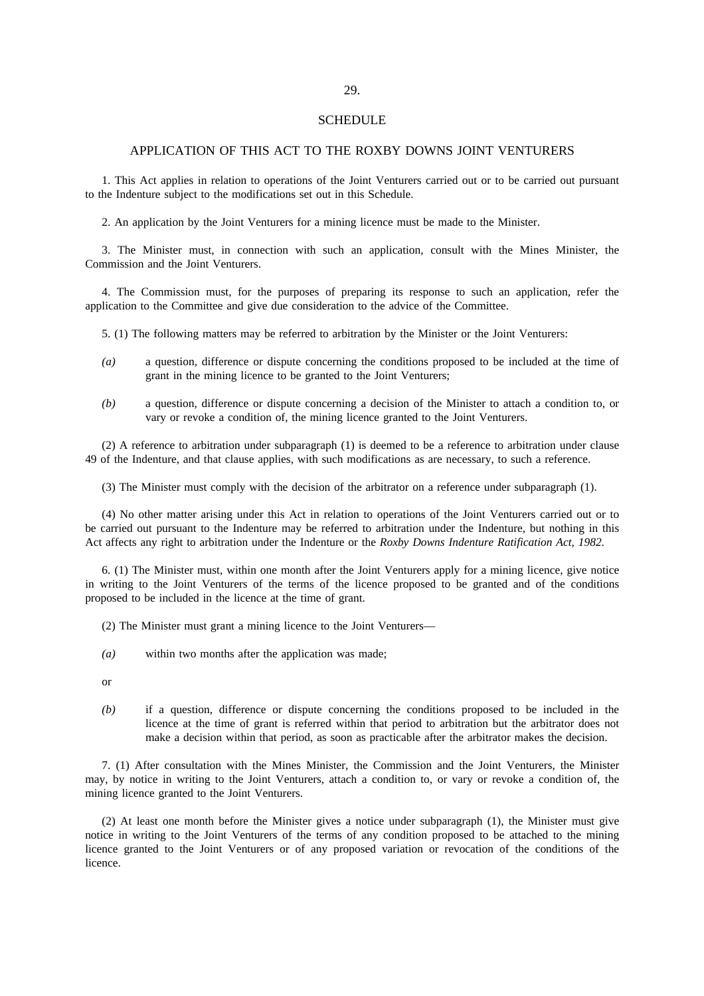#### **SCHEDULE**

### APPLICATION OF THIS ACT TO THE ROXBY DOWNS JOINT VENTURERS

1. This Act applies in relation to operations of the Joint Venturers carried out or to be carried out pursuant to the Indenture subject to the modifications set out in this Schedule.

2. An application by the Joint Venturers for a mining licence must be made to the Minister.

3. The Minister must, in connection with such an application, consult with the Mines Minister, the Commission and the Joint Venturers.

4. The Commission must, for the purposes of preparing its response to such an application, refer the application to the Committee and give due consideration to the advice of the Committee.

5. (1) The following matters may be referred to arbitration by the Minister or the Joint Venturers:

- *(a)* a question, difference or dispute concerning the conditions proposed to be included at the time of grant in the mining licence to be granted to the Joint Venturers;
- *(b)* a question, difference or dispute concerning a decision of the Minister to attach a condition to, or vary or revoke a condition of, the mining licence granted to the Joint Venturers.

(2) A reference to arbitration under subparagraph (1) is deemed to be a reference to arbitration under clause 49 of the Indenture, and that clause applies, with such modifications as are necessary, to such a reference.

(3) The Minister must comply with the decision of the arbitrator on a reference under subparagraph (1).

(4) No other matter arising under this Act in relation to operations of the Joint Venturers carried out or to be carried out pursuant to the Indenture may be referred to arbitration under the Indenture, but nothing in this Act affects any right to arbitration under the Indenture or the *Roxby Downs Indenture Ratification Act, 1982*.

6. (1) The Minister must, within one month after the Joint Venturers apply for a mining licence, give notice in writing to the Joint Venturers of the terms of the licence proposed to be granted and of the conditions proposed to be included in the licence at the time of grant.

(2) The Minister must grant a mining licence to the Joint Venturers—

- *(a)* within two months after the application was made;
- or
- *(b)* if a question, difference or dispute concerning the conditions proposed to be included in the licence at the time of grant is referred within that period to arbitration but the arbitrator does not make a decision within that period, as soon as practicable after the arbitrator makes the decision.

7. (1) After consultation with the Mines Minister, the Commission and the Joint Venturers, the Minister may, by notice in writing to the Joint Venturers, attach a condition to, or vary or revoke a condition of, the mining licence granted to the Joint Venturers.

(2) At least one month before the Minister gives a notice under subparagraph (1), the Minister must give notice in writing to the Joint Venturers of the terms of any condition proposed to be attached to the mining licence granted to the Joint Venturers or of any proposed variation or revocation of the conditions of the licence.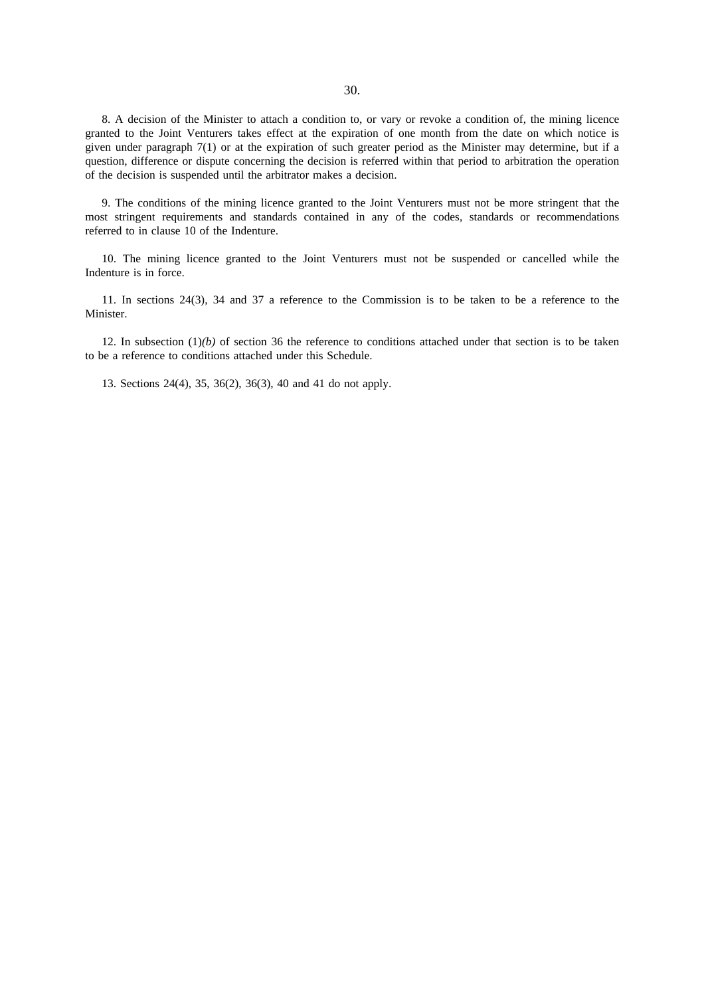8. A decision of the Minister to attach a condition to, or vary or revoke a condition of, the mining licence granted to the Joint Venturers takes effect at the expiration of one month from the date on which notice is given under paragraph 7(1) or at the expiration of such greater period as the Minister may determine, but if a question, difference or dispute concerning the decision is referred within that period to arbitration the operation of the decision is suspended until the arbitrator makes a decision.

9. The conditions of the mining licence granted to the Joint Venturers must not be more stringent that the most stringent requirements and standards contained in any of the codes, standards or recommendations referred to in clause 10 of the Indenture.

10. The mining licence granted to the Joint Venturers must not be suspended or cancelled while the Indenture is in force.

11. In sections 24(3), 34 and 37 a reference to the Commission is to be taken to be a reference to the Minister.

12. In subsection  $(1)(b)$  of section 36 the reference to conditions attached under that section is to be taken to be a reference to conditions attached under this Schedule.

13. Sections 24(4), 35, 36(2), 36(3), 40 and 41 do not apply.